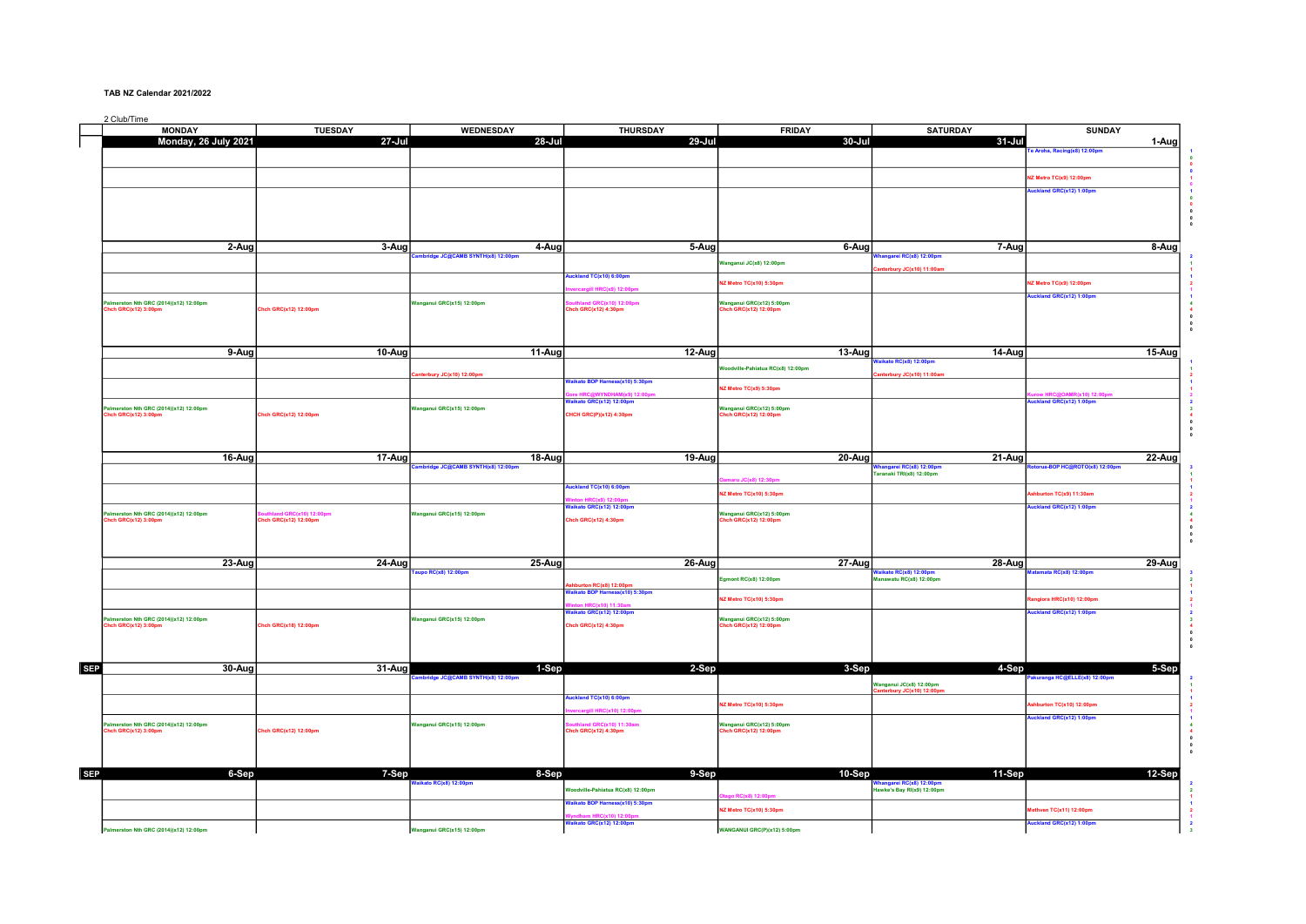## TAB NZ Calendar 2021/2022

2 Club/Time

|            | <b>MONDAY</b>                                                | <b>TUESDAY</b>                                  | WEDNESDAY                                   | THURSDAY                                                   | <b>FRIDAY</b>                                    | <b>SATURDAY</b>                                                | <b>SUNDAY</b>                           |                                             |
|------------|--------------------------------------------------------------|-------------------------------------------------|---------------------------------------------|------------------------------------------------------------|--------------------------------------------------|----------------------------------------------------------------|-----------------------------------------|---------------------------------------------|
|            | Monday, 26 July 2021                                         | 27-Jul                                          | 28-Jul                                      | 29-Jul                                                     | 30-Jul                                           | 31-Jul                                                         | 1-Aug                                   |                                             |
|            |                                                              |                                                 |                                             |                                                            |                                                  |                                                                | Aroha, Racing(x8) 12:00pm               |                                             |
|            |                                                              |                                                 |                                             |                                                            |                                                  |                                                                |                                         | $\bullet$                                   |
|            |                                                              |                                                 |                                             |                                                            |                                                  |                                                                | IZ Metro TC(x9) 12:00pm                 |                                             |
|            |                                                              |                                                 |                                             |                                                            |                                                  |                                                                |                                         |                                             |
|            |                                                              |                                                 |                                             |                                                            |                                                  |                                                                | uckland GRC(x12) 1:00pm                 |                                             |
|            |                                                              |                                                 |                                             |                                                            |                                                  |                                                                |                                         |                                             |
|            |                                                              |                                                 |                                             |                                                            |                                                  |                                                                |                                         | $\begin{array}{c} 0 \\ 0 \\ 0 \end{array}$  |
|            |                                                              |                                                 |                                             |                                                            |                                                  |                                                                |                                         |                                             |
|            |                                                              |                                                 |                                             |                                                            |                                                  |                                                                |                                         |                                             |
|            | 2-Aug                                                        | 3-Aug                                           | 4-Aug                                       | 5-Aug                                                      | 6-Aug                                            | 7-Aug                                                          | $8 - Aug$                               |                                             |
|            |                                                              |                                                 | mbridge JC@CAMB SYNTH(x8) 12:00pm           |                                                            | Vanganul JC(x8) 12:00pm                          | hangarei RC(x8) 12:00pm                                        |                                         |                                             |
|            |                                                              |                                                 |                                             | ckland TC(x10) 6:00pm                                      |                                                  | terbury JC(x10) 11:00an                                        |                                         |                                             |
|            |                                                              |                                                 |                                             | gill HRC(x9) 12:00pm                                       | Z Metro TC(x10) 5:30pm                           |                                                                | IZ Metro TC(x9) 12:00pm                 |                                             |
|            |                                                              |                                                 |                                             |                                                            |                                                  |                                                                | uckland GRC(x12) 1:00pm                 |                                             |
|            | almerston Nth GRC (2014)(x12) 12:00pm<br>hch GRC(x12) 3:00pm | Chch GRC(x12) 12:00pm                           | Vanganul GRC(x15) 12:00pm                   | thland GRC(x10) 12:00pm<br>hch GRC(x12) 4:30pm             | Vanganul GRC(x12) 5:00pm<br>ch GRC(x12) 12:00pm  |                                                                |                                         |                                             |
|            |                                                              |                                                 |                                             |                                                            |                                                  |                                                                |                                         | $\pmb{\circ}$                               |
|            |                                                              |                                                 |                                             |                                                            |                                                  |                                                                |                                         | $\overline{0}$                              |
|            |                                                              |                                                 |                                             |                                                            |                                                  |                                                                |                                         |                                             |
|            | 9-Aug                                                        | 10-Aug                                          | 11-Aug                                      | $12-Auq$                                                   | 13-Aug                                           | 14-Aug                                                         | $15-Aug$                                |                                             |
|            |                                                              |                                                 |                                             |                                                            | loodville-Pahiatua RC(x8) 12:00pm                | aikato RC(x8) 12:00pm                                          |                                         |                                             |
|            |                                                              |                                                 | nterbury JC(x10) 12:00pm                    |                                                            |                                                  | anterbury JC(x10) 11:00am                                      |                                         |                                             |
|            |                                                              |                                                 |                                             | aikato BOP Harness(x10) 5:30pm                             | Z Metro TC(x9) 5:30pm                            |                                                                |                                         |                                             |
|            |                                                              |                                                 |                                             | HAM(x9) 12:00p                                             |                                                  |                                                                | MR(x10) 12:00                           |                                             |
|            | almerston Nth GRC (2014)(x12) 12:00pm                        |                                                 | Vanganul GRC(x15) 12:00pm                   | aikato GRC(x12) 12:00pm                                    | Wanganul GRC(x12) 5:00pm                         |                                                                | uckland GRC(x12) 1:00pm                 | $\mathbf{3}$                                |
|            | hch GRC(x12) 3:00pm                                          | Chch GRC(x12) 12:00pm                           |                                             | CHCH GRC(P)(x12) 4:30pm                                    | hch GRC(x12) 12:00pm                             |                                                                |                                         |                                             |
|            |                                                              |                                                 |                                             |                                                            |                                                  |                                                                |                                         | $\overline{0}$                              |
|            |                                                              |                                                 |                                             |                                                            |                                                  |                                                                |                                         |                                             |
|            |                                                              |                                                 |                                             |                                                            |                                                  |                                                                |                                         |                                             |
|            | 16-Aug                                                       | 17-Aug                                          | 18-Aug<br>hbridge JC@CAMB SYNTH(x8) 12:00pm | 19-Aug                                                     | 20-Aug                                           | 21-Aug<br>angarei RC(x8) 12:00pm                               | 22-Aug<br>torua-BOP HC@ROTO(x8) 12:00pm |                                             |
|            |                                                              |                                                 |                                             |                                                            |                                                  | aranaki TRI(x8) 12:00pm                                        |                                         |                                             |
|            |                                                              |                                                 |                                             | ckland TC(x10) 6:00pm                                      | JC(x8) 12:30pr                                   |                                                                |                                         |                                             |
|            |                                                              |                                                 |                                             |                                                            | Z Metro TC(x10) 5:30pm                           |                                                                | burton TC(x9) 11:30am                   |                                             |
|            |                                                              |                                                 |                                             | aikato GRC(x12) 12:00pm                                    |                                                  |                                                                | uckland GRC(x12) 1:00pm                 |                                             |
|            | almerston Nth GRC (2014)(x12) 12:00pm<br>hch GRC(x12) 3:00pm | hland GRC(x10) 12:00pm<br>Chch GRC(x12) 12:00pm | Vanganul GRC(x15) 12:00pm                   | Chch GRC(x12) 4:30pm                                       | Vanganul GRC(x12) 5:00pm<br>hch GRC(x12) 12:00pm |                                                                |                                         |                                             |
|            |                                                              |                                                 |                                             |                                                            |                                                  |                                                                |                                         | $\overline{0}$                              |
|            |                                                              |                                                 |                                             |                                                            |                                                  |                                                                |                                         | $\mathbf{0}$                                |
|            |                                                              |                                                 |                                             |                                                            |                                                  |                                                                |                                         |                                             |
|            | 23-Aug                                                       | 24-Aug                                          | 25-Aug                                      | 26-Aug                                                     | 27-Aug                                           | 28-Aug                                                         | $29-Aug$                                |                                             |
|            |                                                              |                                                 | aupo RC(x8) 12:00pm                         |                                                            | gmont RC(x8) 12:00pm                             | <mark>Waikato RC(x8) 12:00pm</mark><br>Manawatu RC(x8) 12:00pm | atamata RC(x8) 12:00pm                  |                                             |
|            |                                                              |                                                 |                                             | shburton RC(x8) 12:00pm<br>/aikato BOP Harness(x10) 5:30pm |                                                  |                                                                |                                         | $\overline{2}$                              |
|            |                                                              |                                                 |                                             |                                                            | IZ Metro TC(x10) 5:30pm                          |                                                                | angiora HRC(x10) 12:00pm                |                                             |
|            |                                                              |                                                 |                                             | aikato GRC(x12) 12:00pm                                    |                                                  |                                                                | uckland GRC(x12) 1:00pm                 |                                             |
|            | almerston Nth GRC (2014)(x12) 12:00pm                        |                                                 | Wanganul GRC(x15) 12:00pm                   |                                                            | Wanganul GRC(x12) 5:00pm                         |                                                                |                                         | $\mathbf{3}$                                |
|            | hch GRC(x12) 3:00pm                                          | Chch GRC(x18) 12:00pm                           |                                             | Chch GRC(x12) 4:30pm                                       | hch GRC(x12) 12:00pm                             |                                                                |                                         |                                             |
|            |                                                              |                                                 |                                             |                                                            |                                                  |                                                                |                                         | $\bullet$                                   |
|            |                                                              |                                                 |                                             |                                                            |                                                  |                                                                |                                         | $\overline{\mathbf{0}}$                     |
|            |                                                              |                                                 |                                             |                                                            |                                                  |                                                                |                                         |                                             |
| <b>SEP</b> | 30-Aug                                                       | 31-Aug                                          | 1-Sep<br>dge JC@CAMB SYNTH(x8) 12:00pr      | 2-Sep                                                      | 3-Sep                                            | 4-Sep                                                          | 5-Sep<br>uranga HC@ELLE(x8) 12:00pr     |                                             |
|            |                                                              |                                                 |                                             |                                                            |                                                  | .<br>Wanganul JC(x8) 12:00pm<br>Canterbury JC(x10) 12:00pm     |                                         |                                             |
|            |                                                              |                                                 |                                             | ckland TC(x10) 6:00pm                                      |                                                  |                                                                |                                         |                                             |
|            |                                                              |                                                 |                                             | <b>alli HRC(x10) 12:00</b>                                 | IZ Metro TC(x10) 5:30pm                          |                                                                | hburton TC(x10) 12:00pm                 |                                             |
|            |                                                              |                                                 |                                             |                                                            |                                                  |                                                                | ckland GRC(x12) 1:00pm                  |                                             |
|            | almerston Nth GRC (2014)(x12) 12:00pm<br>hch GRC(x12) 3:00pm | Chch GRC(x12) 12:00pm                           | Vanganul GRC(x15) 12:00pm                   | uthland GRC(x10) 11:30am<br>Chch GRC(x12) 4:30pm           | Wanganul GRC(x12) 5:00pm<br>hch GRC(x12) 12:00pm |                                                                |                                         |                                             |
|            |                                                              |                                                 |                                             |                                                            |                                                  |                                                                |                                         | $\overline{\mathbf{0}}$                     |
|            |                                                              |                                                 |                                             |                                                            |                                                  |                                                                |                                         | $\begin{smallmatrix}0\0\0\end{smallmatrix}$ |
|            |                                                              |                                                 |                                             |                                                            |                                                  |                                                                |                                         |                                             |
| <b>SEP</b> | $6-$ Sep                                                     | 7-Sep                                           | $8-Sep$                                     | 9-Sep                                                      | 10-Sep                                           | 11-Sep                                                         | $12-Sep$                                |                                             |
|            |                                                              |                                                 | aikato RC(x8) 12:00pm                       | /oodville-Pahiatua RC(x8) 12:00pm                          |                                                  | Whangarel RC(x8) 12:00pm<br>Hawke's Bay RI(x9) 12:00pm         |                                         |                                             |
|            |                                                              |                                                 |                                             |                                                            | $C(x8)$ 12:00                                    |                                                                |                                         |                                             |
|            |                                                              |                                                 |                                             | aikato BOP Harness(x10) 5:30pm                             | NZ Metro TC(x10) 5:30pm                          |                                                                | ethven TC(x11) 12:00pm                  |                                             |
|            |                                                              |                                                 |                                             | am HRC(x10) 12:00<br>Valkato GRC(x12) 12:00pm              |                                                  |                                                                | uckland GRC(x12) 1:00pm                 |                                             |
|            | Palmerston Nth GRC (2014)(x12) 12:00pm                       |                                                 | Wanganul GRC(x15) 12:00pm                   |                                                            | WANGANUI GRC(P)(x12) 5:00pm                      |                                                                |                                         |                                             |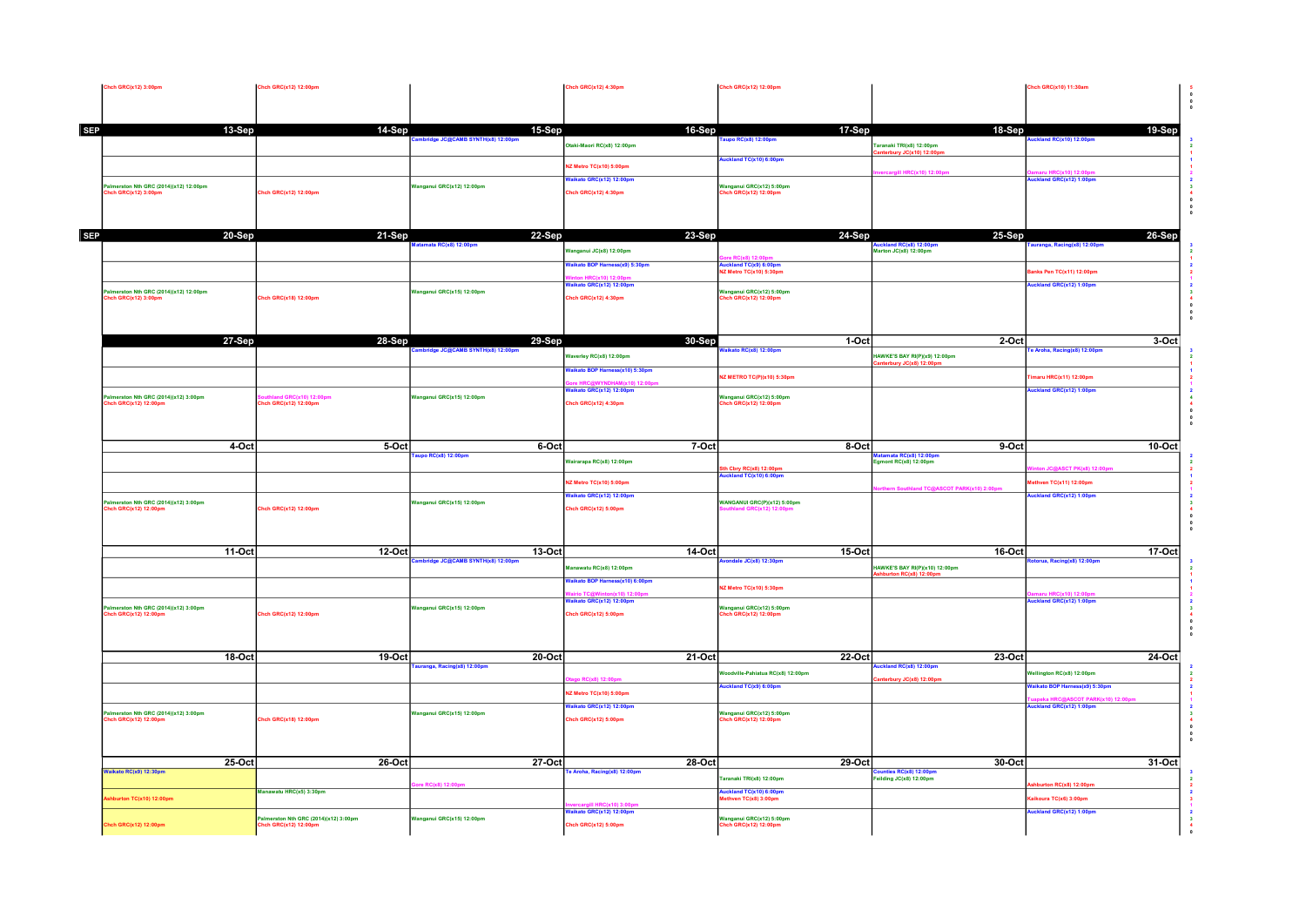|            | Chch GRC(x12) 3:00pm                                          | <b>Chch GRC(x12) 12:00pm</b>                   |                                         | Chch GRC(x12) 4:30pm                           | Chch GRC(x12) 12:00pm                                            |                                                        | Chch GRC(x10) 11:30am                                |                                      |
|------------|---------------------------------------------------------------|------------------------------------------------|-----------------------------------------|------------------------------------------------|------------------------------------------------------------------|--------------------------------------------------------|------------------------------------------------------|--------------------------------------|
|            |                                                               |                                                |                                         |                                                |                                                                  |                                                        |                                                      | $\begin{matrix} 0 \\ 0 \end{matrix}$ |
|            |                                                               |                                                |                                         |                                                | 17-Sep                                                           |                                                        |                                                      |                                      |
| <b>SEP</b> | 13-Sep                                                        | 14-Sep                                         | 15-Sep<br>dge JC@CAMB SYNTH(x8) 12:00pr | 16-Sep                                         | upo RC(x8) 12:00pm                                               | 18-Sep                                                 | 19-Sep<br>land RC(x10) 12:00pr                       |                                      |
|            |                                                               |                                                |                                         | Otaki-Maori RC(x8) 12:00pm                     | uckland TC(x10) 6:00pm                                           | Faranaki TRI(x8) 12:00pm<br>terbury JC(x10) 12:00pn    |                                                      |                                      |
|            |                                                               |                                                |                                         | <b>IZ Metro TC(x10) 5:00pm</b>                 |                                                                  | gill HRC(x10) 12:00p                                   |                                                      |                                      |
|            | almerston Nth GRC (2014)(x12) 12:00pm<br>:hch GRC(x12) 3:00pm |                                                | Vanganul GRC(x12) 12:00pm               | aikato GRC(x12) 12:00pm                        | .<br>Manganul GRC(x12) 5:00pm<br>Chch GRC(x12) 12:00pm           |                                                        | ckland GRC(x12) 1:00pr                               |                                      |
|            |                                                               | Chch GRC(x12) 12:00pm                          |                                         | hch GRC(x12) 4:30pm                            |                                                                  |                                                        |                                                      |                                      |
|            |                                                               |                                                |                                         |                                                |                                                                  |                                                        |                                                      |                                      |
| SEP        | 20-Sep                                                        | 21-Sep                                         | 22-Sep                                  | 23-Sep                                         | 24-Sep                                                           | 25-Sep                                                 | 26-Sep                                               |                                      |
|            |                                                               |                                                | amata RC(x8) 12:00pm                    | anganul JC(x8) 12:00pm                         |                                                                  | Auckland RC(x8) 12:00pm<br>Marton JC(x8) 12:00pm       | ıranga, Racing(x8) 12:00pm                           |                                      |
|            |                                                               |                                                |                                         | alkato BOP Harness(x9) 5:30pm                  | RC(x8) 12:00<br>uckland TC(x9) 6:00pm<br>IZ Metro TC(x10) 5:30pm |                                                        |                                                      |                                      |
|            |                                                               |                                                |                                         | aikato GRC(x12) 12:00pm                        |                                                                  |                                                        | anks Pen TC(x11) 12:00pm<br>uckland GRC(x12) 1:00pm  |                                      |
|            | almerston Nth GRC (2014)(x12) 12:00pm<br>ich GRC(x12) 3:00pm  | Chch GRC(x18) 12:00pm                          | Vanganul GRC(x15) 12:00pm               | hch GRC(x12) 4:30pm                            | Wanganul GRC(x12) 5:00pm<br>nch GRC(x12) 12:00pm                 |                                                        |                                                      |                                      |
|            |                                                               |                                                |                                         |                                                |                                                                  |                                                        |                                                      |                                      |
|            |                                                               |                                                |                                         |                                                |                                                                  |                                                        |                                                      |                                      |
|            | 27-Sep                                                        | 28-Sep                                         | 29-Sep                                  | 30-Sep                                         | 1-Oct                                                            | 2-Oct                                                  | 3-Oct                                                |                                      |
|            |                                                               |                                                | dge JC@CAMB SYNTH(x8) 12:00             | Vaverley RC(x8) 12:00pm                        | kato RC(x8) 12:00pm                                              | HAWKE'S BAY RI(P)(x9) 12:00pm<br>erbury JC(x8) 12:00pm | Aroha, Racing(x8) 12:00pm                            |                                      |
|            |                                                               |                                                |                                         | aikato BOP Harness(x10) 5:30pm                 | Z METRO TC(P)(x10) 5:30pm                                        |                                                        | maru HRC(x11) 12:00pm                                |                                      |
|            |                                                               |                                                |                                         | aikato GRC(x12) 12:00pm                        |                                                                  |                                                        | uckland GRC(x12) 1:00pm                              |                                      |
|            | almerston Nth GRC (2014)(x12) 3:00pm<br>hch GRC(x12) 12:00pm  | land GRC(x10) 12:00pm<br>Chch GRC(x12) 12:00pm | Vanganui GRC(x15) 12:00pm               | hch GRC(x12) 4:30pm                            | Wanganul GRC(x12) 5:00pm<br>hch GRC(x12) 12:00pm                 |                                                        |                                                      |                                      |
|            |                                                               |                                                |                                         |                                                |                                                                  |                                                        |                                                      |                                      |
|            |                                                               |                                                |                                         |                                                |                                                                  |                                                        |                                                      |                                      |
|            | 4-Oct                                                         | $5$ -Oct                                       | 6-Oct<br>upo RC(x8) 12:00pm             | 7-Oct                                          | 8-Oct                                                            | $9-Oct$<br>tamata RC(x8) 12:00p                        | 10-Oct                                               |                                      |
|            |                                                               |                                                |                                         | lairarapa RC(x8) 12:00pm                       | th Cbry RC(x8) 12:00pm<br>.uckland TC(x10) 6:00pm                | gmont RC(x8) 12:00pm                                   | <b>JC@ASCT PK(x8) 12:00</b>                          |                                      |
|            |                                                               |                                                |                                         | Metro TC(x10) 5:00pm                           |                                                                  |                                                        | ven TC(x11) 12:00pm                                  |                                      |
|            | almerston Nth GRC (2014)(x12) 3:00pm                          |                                                | Janganul GRC(x15) 12:00pm               | Vaikato GRC(x12) 12:00pm                       | VANGANUI GRC(P)(x12) 5:00pm                                      | Southland TC@ASCOT PARK(x10) 2:00p                     | ckland GRC(x12) 1:00pm                               |                                      |
|            | hch GRC(x12) 12:00pm                                          | Chch GRC(x12) 12:00pm                          |                                         | hch GRC(x12) 5:00pm                            | GRC(x12) 12:00                                                   |                                                        |                                                      |                                      |
|            |                                                               |                                                |                                         |                                                |                                                                  |                                                        |                                                      |                                      |
|            | 11-Oct                                                        | 12-Oct                                         | 13-Oct                                  | 14-Oct                                         | $15$ -Oct                                                        | <b>16-Oct</b>                                          | 17-Oct                                               |                                      |
|            |                                                               |                                                | hbridge JC@CAMB SYNTH(x8) 12:00pm       | anawatu RC(x8) 12:00pm                         | ndale JC(x8) 12:30pm                                             | IAWKE'S BAY RI(P)(x10) 12:00pm                         | torua, Racing(x8) 12:00pm                            |                                      |
|            |                                                               |                                                |                                         | aikato BOP Harness(x10) 6:00pm                 |                                                                  | rton RC(x8) 12:0                                       |                                                      |                                      |
|            |                                                               |                                                |                                         |                                                | Z Metro TC(x10) 5:30pm                                           |                                                        |                                                      |                                      |
|            | almerston Nth GRC (2014)(x12) 3:00pm<br>hch GRC(x12) 12:00pm  | <b>Chch GRC(x12) 12:00pm</b>                   | langanui GRC(x15) 12:00pm               | aikato GRC(x12) 12:00pm<br>hch GRC(x12) 5:00pm | Vanganul GRC(x12) 5:00pm<br>hch GRC(x12) 12:00pm                 |                                                        | ckland GRC(x12) 1:00pm                               |                                      |
|            |                                                               |                                                |                                         |                                                |                                                                  |                                                        |                                                      |                                      |
|            |                                                               |                                                |                                         |                                                |                                                                  |                                                        |                                                      |                                      |
|            | 18-Oct                                                        | 19-Oct                                         | 20-Oct                                  | 21-Oct                                         | 22-Oct                                                           | 23-Oct                                                 | 24-Oct                                               |                                      |
|            |                                                               |                                                | uranga, Racing(x8) 12:00pm              |                                                | odville-Pahiatua RC(x8) 12:00pm                                  | ickland RC(x8) 12:00pm                                 | Vellington RC(x8) 12:00pm                            |                                      |
|            |                                                               |                                                |                                         | C(x8) 12:00pm<br>Z Metro TC(x10) 5:00pm        | ickland TC(x9) 6:00pm                                            | nterbury JC(x8) 12:00pm                                | aikato BOP Harness(x9) 5:30pm                        |                                      |
|            |                                                               |                                                |                                         | aikato GRC(x12) 12:00pm                        |                                                                  |                                                        | <b>SCOT PARK(x10) 12:00</b><br>kland GRC(x12) 1:00pm |                                      |
|            | almerston Nth GRC (2014)(x12) 3:00pm<br>hch GRC(x12) 12:00pm  | Chch GRC(x18) 12:00pm                          | anganui GRC(x15) 12:00pm                | hch GRC(x12) 5:00pm                            | Vanganul GRC(x12) 5:00pm<br>hch GRC(x12) 12:00pm                 |                                                        |                                                      |                                      |
|            |                                                               |                                                |                                         |                                                |                                                                  |                                                        |                                                      |                                      |
|            |                                                               |                                                |                                         |                                                |                                                                  |                                                        |                                                      |                                      |
|            | $25-0ct$<br>Waikato RC(x9) 12:30pm                            | 26-Oct                                         | 27-Oct                                  | 28-Oct<br>e Aroha, Racing(x8) 12:00pm          | $29$ -Oct                                                        | 30-Oct<br>inties RC(x8) 12:00pm                        | 31-Oct                                               |                                      |
|            |                                                               |                                                | RC(x8) 12:00                            |                                                | aranaki TRI(x8) 12:00pm                                          | eilding JC(x8) 12:00pm                                 | shburton RC(x8) 12:00pm                              |                                      |
|            | shburton TC(x10) 12:00pm                                      | Manawatu HRC(x5) 3:30pm                        |                                         |                                                | ickland TC(x10) 6:00pm<br>ethven TC(x8) 3:00pm                   |                                                        | aikoura TC(x6) 3:00pm                                |                                      |
|            |                                                               | Palmerston Nth GRC (2014)(x12) 3:00pm          | Wanganul GRC(x15) 12:00pm               | aikato GRC(x12) 12:00pr                        | Vanganul GRC(x12) 5:00pm                                         |                                                        | uckland GRC(x12) 1:00pm                              |                                      |
|            | Chch GRC(x12) 12:00pm                                         | hch GRC(x12) 12:00pm                           |                                         | Chch GRC(x12) 5:00pm                           | ich GRC(x12) 12:00pm                                             |                                                        |                                                      |                                      |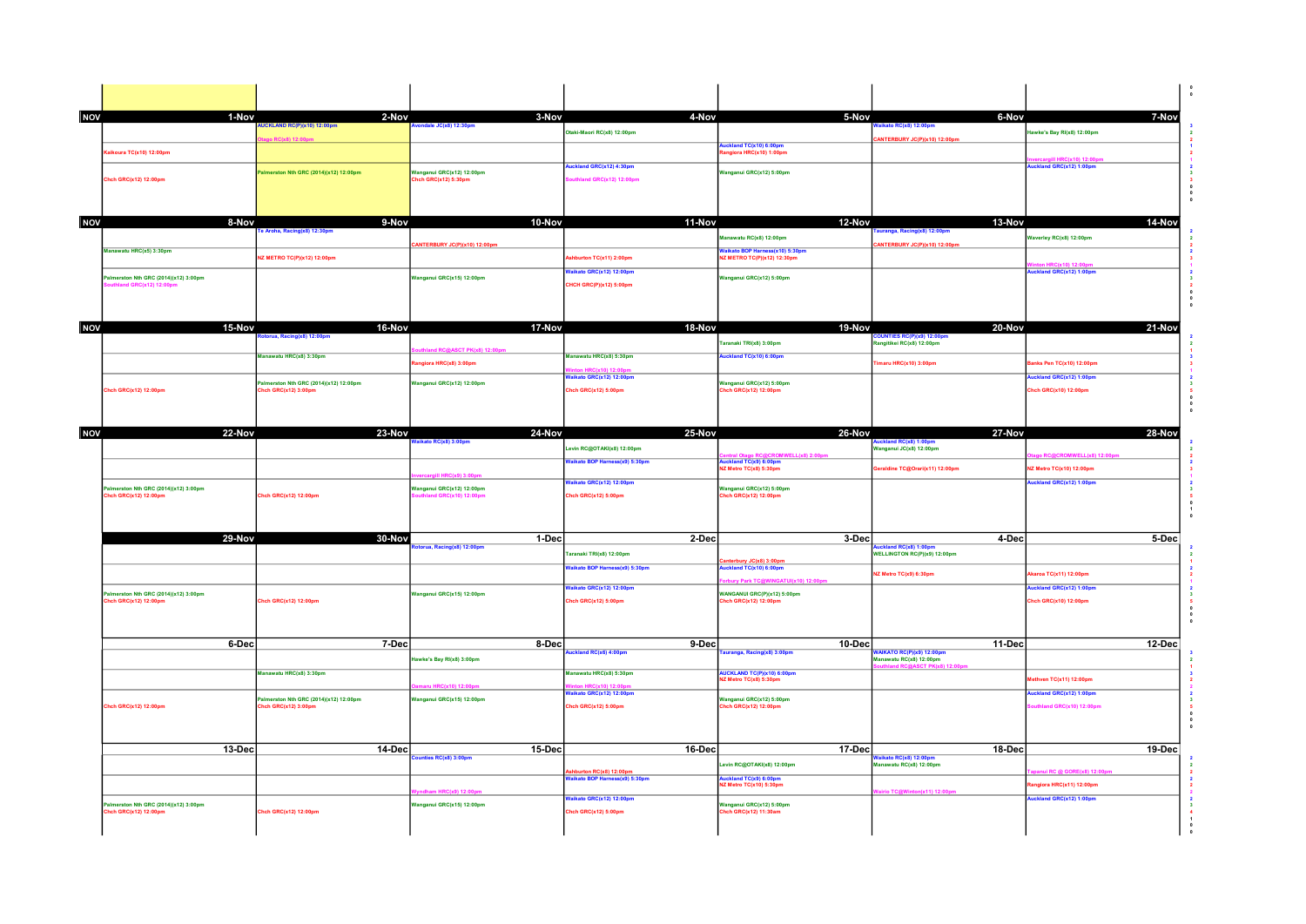| <b>NOV</b> | 1-Nov                                 | 2-Nov<br>UCKLAND RC(P)(x10) 12:00pm    | 3-Nov<br>ale JC(x8) 12:30pm       | 4-Nov                                                      | 5-Nov                                                          | 6-Nov<br>ilkato RC(x8) 12:00pn                                    | 7-Nov                      |  |
|------------|---------------------------------------|----------------------------------------|-----------------------------------|------------------------------------------------------------|----------------------------------------------------------------|-------------------------------------------------------------------|----------------------------|--|
|            |                                       | C(x8) 12:00                            |                                   | Dtaki-Maori RC(x8) 12:00pm                                 |                                                                | ANTERBURY JC(P)(x10) 12:00pm                                      | Hawke's Bay RI(x8) 12:00pm |  |
|            | ikoura TC(x10) 12:00pm                |                                        |                                   |                                                            | uckland TC(x10) 6:00pm<br>ngiora HRC(x10) 1:00pm               |                                                                   |                            |  |
|            |                                       | almerston Nth GRC (2014)(x12) 12:00pm  | Wanganui GRC(x12) 12:00pm         | uckland GRC(x12) 4:30pm                                    | Vanganul GRC(x12) 5:00pm                                       |                                                                   | ckland GRC(x12) 1:00pm     |  |
|            | Chch GRC(x12) 12:00pm                 |                                        | ch GRC(x12) 5:30pm                | uthland GRC(x12) 12:00pm                                   |                                                                |                                                                   |                            |  |
|            |                                       |                                        |                                   |                                                            |                                                                |                                                                   |                            |  |
|            |                                       |                                        |                                   |                                                            |                                                                |                                                                   |                            |  |
| NOV        | 8-Nov                                 | 9-Nov<br>Aroha, Racing(x8) 12:30pr     | 10-Nov                            | 11-Nov                                                     | 12-Nov                                                         | 13-Nov<br>ga, Racing(x8) 12:00pn                                  | 14-Nov                     |  |
|            |                                       |                                        | ANTERBURY JC(P)(x10) 12:00pm      |                                                            | Manawatu RC(x8) 12:00pm                                        | NTERBURY JC(P)(x10) 12:00pm                                       | Waverley RC(x8) 12:00pm    |  |
|            | Manawatu HRC(x5) 3:30pm               | <b>IZ METRO TC(P)(x12) 12:00pm</b>     |                                   | burton TC(x11) 2:00pm                                      | Valkato BOP Harness(x10) 5:30pm<br>IZ METRO TC(P)(x12) 12:30pm |                                                                   |                            |  |
|            | Palmerston Nth GRC (2014)(x12) 3:00pm |                                        | Vanganul GRC(x15) 12:00pm         | aikato GRC(x12) 12:00pm                                    | Wanganul GRC(x12) 5:00pm                                       |                                                                   | kland GRC(x12) 1:00pm      |  |
|            |                                       |                                        |                                   | <b>HCH GRC(P)(x12) 5:00pm</b>                              |                                                                |                                                                   |                            |  |
|            |                                       |                                        |                                   |                                                            |                                                                |                                                                   |                            |  |
|            |                                       |                                        |                                   |                                                            |                                                                |                                                                   |                            |  |
| <b>NOV</b> | 15-Nov                                | 16-Nov<br>orua, Racing(x8) 12:00pm     | 17-Nov                            | 18-Nov                                                     | 19-Nov                                                         | 20-Nov<br>OUNTIES RC(P)(x9) 12:00pm<br>angitikel RC(x8) 12:00pm   | 21-Nov                     |  |
|            |                                       |                                        | d RC@ASCT PK(x8) 12:00p           |                                                            | aranaki TRI(x8) 3:00pm                                         |                                                                   |                            |  |
|            |                                       | Manawatu HRC(x8) 3:30pm                | ngiora HRC(x8) 3:00pm             | Manawatu HRC(x8) 5:30pm                                    | uckland TC(x10) 6:00pm                                         | Imaru HRC(x10) 3:00pm                                             | hks Pen TC(x10) 12:00pm    |  |
|            |                                       | Palmerston Nth GRC (2014)(x12) 12:00pm | Wanganui GRC(x12) 12:00pm         | ikato GRC(x12) 12:00pm                                     |                                                                |                                                                   | ckland GRC(x12) 1:00pm     |  |
|            | Chch GRC(x12) 12:00pm                 | hch GRC(x12) 3:00pm                    |                                   | Chch GRC(x12) 5:00pm                                       | Wanganul GRC(x12) 5:00pm<br>Chch GRC(x12) 12:00pm              |                                                                   | Chch GRC(x10) 12:00pm      |  |
|            |                                       |                                        |                                   |                                                            |                                                                |                                                                   |                            |  |
|            |                                       |                                        |                                   |                                                            |                                                                |                                                                   |                            |  |
| NOV        | 22-Nov                                | 23 Nov                                 | 24-Nov<br>ikato RC(x8) 3:00pm     | 25-Nov                                                     | 26-Nov                                                         | 27-Nov<br>ickland RC(x8) 1:00p                                    | 28-Nov                     |  |
|            |                                       |                                        |                                   | evin RC@OTAKI(x8) 12:00pm<br>aikato BOP Harness(x9) 5:30pm | WELL(x8) 2:00pm<br>uckland TC(x9) 6:00pm                       | Inganul JC(x8) 12:00pm                                            | RC@CROMWELL(x8) 12:00pm    |  |
|            |                                       |                                        | III HRC(x9) 3:00m                 |                                                            | Z Metro TC(x8) 5:30pm                                          | raldine TC@Orari(x11) 12:00pm                                     | Z Metro TC(x10) 12:00pm    |  |
|            | almerston Nth GRC (2014)(x12) 3:00pm  |                                        | anganul GRC(x12) 12:00pm          | aikato GRC(x12) 12:00pm                                    | .<br>Wanganul GRC(x12) 5:00pm<br>Chch GRC(x12) 12:00pm         |                                                                   | ckland GRC(x12) 1:00pm     |  |
|            | hch GRC(x12) 12:00pm                  | <b>Chch GRC(x12) 12:00pm</b>           | d GRC(x10) 12:00p                 | Chch GRC(x12) 5:00pm                                       |                                                                |                                                                   |                            |  |
|            |                                       |                                        |                                   |                                                            |                                                                |                                                                   |                            |  |
|            | 29-Nov                                | 30-Nov                                 |                                   | 2-Dec                                                      |                                                                |                                                                   | 5-Dec                      |  |
|            |                                       |                                        | 1-Dec<br>orua, Racing(x8) 12:00pm |                                                            | 3-Dec                                                          | 4-Dec<br>Auckland RC(x8) 1:00pm<br>WELLINGTON RC(P)(x9) 12:00pm   |                            |  |
|            |                                       |                                        |                                   | Faranaki TRI(x8) 12:00pm<br>Vaikato BOP Harness(x9) 5:30pm | nterbury JC(x8) 3:00pm<br>ickland TC(x10) 6:00pm               |                                                                   |                            |  |
|            |                                       |                                        |                                   |                                                            | y Park TC@WINGATUI(x10) 12:00pr                                | IZ Metro TC(x9) 6:30pm                                            | aroa TC(x11) 12:00pm       |  |
|            | almerston Nth GRC (2014)(x12) 3:00pm  |                                        | Wanganui GRC(x15) 12:00pm         | aikato GRC(x12) 12:00pm                                    | WANGANUI GRC(P)(x12) 5:00pm                                    |                                                                   | ckland GRC(x12) 1:00pm     |  |
|            | hch GRC(x12) 12:00p                   | <b>Chch GRC(x12) 12:00pm</b>           |                                   | Chch GRC(x12) 5:00pm                                       | hch GRC(x12) 12:00pr                                           |                                                                   | hch GRC(x10) 12:00pm       |  |
|            |                                       |                                        |                                   |                                                            |                                                                |                                                                   |                            |  |
|            | 6-Dec                                 | 7-Dec                                  | 8-Dec                             | 9-Dec                                                      | 10-Dec                                                         | 11-Dec                                                            | 12-Dec                     |  |
|            |                                       |                                        | Hawke's Bay RI(x8) 3:00pm         | kland RC(x6) 4:00pm                                        | uranga, Racing(x8) 3:00pm                                      | <mark>WAIKATO RC(P)(x9) 12:00pn</mark><br>Manawatu RC(x8) 12:00pm |                            |  |
|            |                                       | Manawatu HRC(x8) 3:30pm                |                                   | anawatu HRC(x8) 5:30pm                                     |                                                                |                                                                   |                            |  |
|            |                                       |                                        | aru HRC(x10) 12:00pm              |                                                            | AUCKLAND TC(P)(x10) 6:00pm<br>NZ Metro TC(x8) 5:30pm           |                                                                   | thven TC(x11) 12:00pm      |  |
|            | Chch GRC(x12) 12:00pm                 | almerston Nth GRC (2014)(x12) 12:00pm  | Wanganul GRC(x15) 12:00pm         | alkato GRC(x12) 12:00pr                                    | Wanganul GRC(x12) 5:00pm<br>hch GRC(x12) 12:00pm               |                                                                   | kland GRC(x12) 1:00pm      |  |
|            |                                       | hch GRC(x12) 3:00pm                    |                                   | Chch GRC(x12) 5:00pm                                       |                                                                |                                                                   | and GRC(x10) 12:00pm       |  |
|            |                                       |                                        |                                   |                                                            |                                                                |                                                                   |                            |  |
|            | 13-Dec                                | 14-Dec                                 | 15-Dec                            | 16-Dec                                                     | 17-Dec                                                         | 18-Dec                                                            | 19-Dec                     |  |
|            |                                       |                                        | ties RC(x8) 3:00pm                |                                                            | evin RC@OTAKI(x8) 12:00pm                                      | <mark>Waikato RC(x8) 12:00pm</mark><br>Aanawatu RC(x8) 12:00pm    |                            |  |
|            |                                       |                                        |                                   | burton RC(x8) 12:00pm<br>aikato BOP Harness(x9) 5:30pm     |                                                                |                                                                   | ui RC @ GORE(x8) 12:00pr   |  |
|            |                                       |                                        | am HRC(x9) 12:00pr                |                                                            | uckland TC(x9) 6:00pm<br>IZ Metro TC(x10) 5:30pm               | rio TC@Winton(x11) 12:00p                                         | ngiora HRC(x11) 12:00pm    |  |
|            | Palmerston Nth GRC (2014)(x12) 3:00pm |                                        | Vanganul GRC(x15) 12:00pm         | aikato GRC(x12) 12:00pm                                    | Wanganul GRC(x12) 5:00pm                                       |                                                                   | ckland GRC(x12) 1:00pm     |  |
|            | hch GRC(x12) 12:00pm                  | Chch GRC(x12) 12:00pm                  |                                   | Chch GRC(x12) 5:00pm                                       | hch GRC(x12) 11:30am                                           |                                                                   |                            |  |
|            |                                       |                                        |                                   |                                                            |                                                                |                                                                   |                            |  |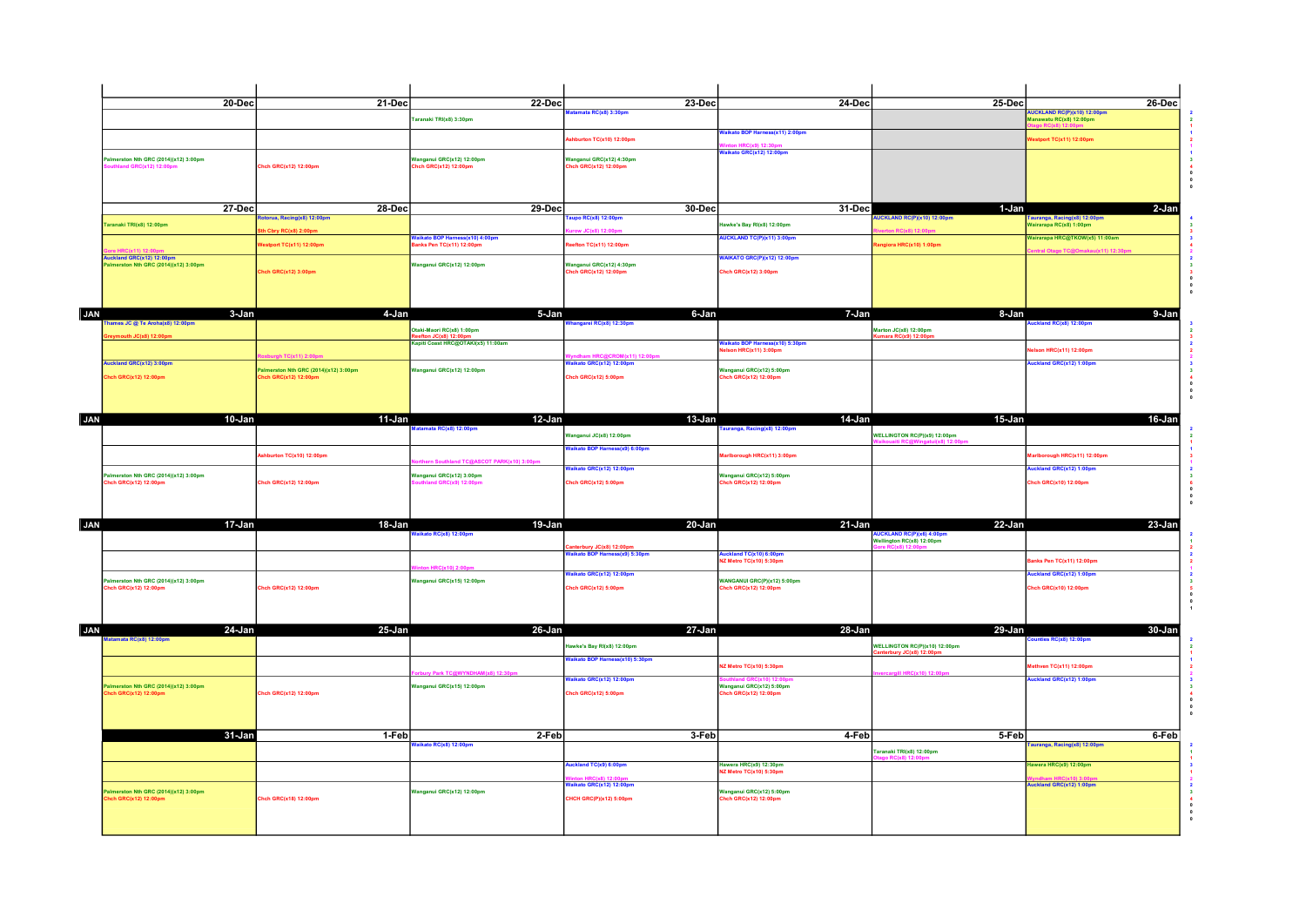|            | $20 - Dec$                                                    |                                      | $21$ -Dec                                                    | <b>22-Dec</b>                     | $23-Dec$<br>amata RC(x8) 3:30pm                            | $24-Dec$                                                  | $25-Dec$                                                     | <b>NUCKLAND RC(P)(x10) 12:00pm</b>                    | $26-Dec$ |
|------------|---------------------------------------------------------------|--------------------------------------|--------------------------------------------------------------|-----------------------------------|------------------------------------------------------------|-----------------------------------------------------------|--------------------------------------------------------------|-------------------------------------------------------|----------|
|            |                                                               |                                      | Taranaki TRI(x8) 3:30pm                                      |                                   |                                                            |                                                           |                                                              | lanawatu RC(x8) 12:00pm                               |          |
|            |                                                               |                                      |                                                              |                                   | hburton TC(x10) 12:00pm                                    | Vaikato BOP Harness(x11) 2:00pm                           |                                                              | stport TC(x11) 12:00pm                                |          |
|            | almerston Nth GRC (2014)(x12) 3:00pm                          |                                      | anganul GRC(x12) 12:00pm                                     |                                   | Vanganui GRC(x12) 4:30pm                                   | aikato GRC(x12) 12:00pm                                   |                                                              |                                                       |          |
|            | nd GRC(x12) 12:00                                             | hch GRC(x12) 12:00pm                 | ich GRC(x12) 12:00pm                                         |                                   | 1ch GRC(x12) 12:00pm                                       |                                                           |                                                              |                                                       |          |
|            |                                                               |                                      |                                                              |                                   |                                                            |                                                           |                                                              |                                                       |          |
|            |                                                               |                                      |                                                              |                                   |                                                            |                                                           |                                                              |                                                       |          |
|            | <b>27-Dec</b>                                                 | storua, Racing(x8) 12:00pm           | 28-Dec                                                       | $29 - Dec$                        | 30-Dec<br><b>JDO RC(x8) 12:00pm</b>                        | 31-Dec                                                    | 1-Jan                                                        |                                                       | $2-Jan$  |
|            | Faranaki TRI(x8) 12:00pm                                      | h Cbry RC(x8) 2:00pr                 |                                                              |                                   | IC(x8) 12:00                                               | lawke's Bay RI(x8) 12:00pm                                | UCKLAND RC(P)(x10) 12:00pm<br>n RC(x8) 12:00p                | auranga, Racing(x8) 12:00pm<br>airarapa RC(x8) 1:00pm |          |
|            |                                                               | estport TC(x11) 12:00pm              | Vaikato BOP Harness(x10) 4:00pm<br>Ianks Pen TC(x11) 12:00pm |                                   | efton TC(x11) 12:00pm                                      | UCKLAND TC(P)(x11) 3:00pm                                 | giora HRC(x10) 1:00pm                                        | Vairarapa HRC@TKOW(x5) 11:00am                        |          |
|            | uckland GRC(x12) 12:00pm                                      |                                      |                                                              |                                   |                                                            | <b>NKATO GRC(P)(x12) 12:00pm</b>                          |                                                              | <b>Otago TC@Omak</b>                                  |          |
|            | nerston Nth GRC (2014)(x12) 3:00pm                            | hch GRC(x12) 3:00pm                  | Vanganul GRC(x12) 12:00pm                                    |                                   | Vanganul GRC(x12) 4:30pm<br>hch GRC(x12) 12:00pm           | Chch GRC(x12) 3:00pm                                      |                                                              |                                                       |          |
|            |                                                               |                                      |                                                              |                                   |                                                            |                                                           |                                                              |                                                       |          |
|            |                                                               |                                      |                                                              |                                   |                                                            |                                                           |                                                              |                                                       |          |
|            |                                                               | 3-Jan                                | 4-Jan                                                        | 5-Jan                             | 6-Jan                                                      | 7-Jan                                                     | 8-Jan                                                        |                                                       | 9-Jan    |
| <b>JAN</b> | nes JC @ Te Aroha(x8) 12:00pm                                 |                                      | taki-Maori RC(x8) 1:00pm                                     |                                   | ngarei RC(x8) 12:30pm                                      |                                                           | arton JC(x8) 12:00pm                                         | land RC(x8) 12:00pm                                   |          |
|            | eymouth JC(x8) 12:00pm                                        |                                      | on JC(x8) 12:00                                              | apiti Coast HRC@OTAKI(x5) 11:00am |                                                            | Valkato BOP Harness(x10) 5:30pm<br>Ielson HRC(x11) 3:00pm | nara RC(x9) 12:00p                                           |                                                       |          |
|            |                                                               | ah TC(x11) 2:00p                     |                                                              |                                   | M(x11) 12:00p                                              |                                                           |                                                              | son HRC(x11) 12:00pm                                  |          |
|            | Auckland GRC(x12) 3:00pm                                      | almerston Nth GRC (2014)(x12) 3:00pm | Vanganul GRC(x12) 12:00pm                                    |                                   | aikato GRC(x12) 12:00pm                                    | Vanganul GRC(x12) 5:00pm                                  |                                                              | ckland GRC(x12) 1:00pm                                |          |
|            | hch GRC(x12) 12:00pm                                          | ich GRC(x12) 12:00pm                 |                                                              |                                   | hch GRC(x12) 5:00pm                                        | hch GRC(x12) 12:00pm                                      |                                                              |                                                       |          |
|            |                                                               |                                      |                                                              |                                   |                                                            |                                                           |                                                              |                                                       |          |
|            |                                                               |                                      |                                                              |                                   |                                                            |                                                           |                                                              |                                                       |          |
|            | 10-Jan                                                        |                                      | 11-Jan<br>amata RC(x8) 12:00pm                               | 12-Jan                            | $13$ -Jan                                                  | 14-Jan<br>auranga, Racing(x8) 12:00pm                     | 15-Jan                                                       |                                                       | 16-Jan   |
|            |                                                               |                                      |                                                              |                                   | anganul JC(x8) 12:00pm                                     |                                                           | VELLINGTON RC(P)(x9) 12:00pm                                 |                                                       |          |
|            |                                                               | burton TC(x10) 12:00pm               |                                                              |                                   | aikato BOP Harness(x9) 6:00pm                              | Iborough HRC(x11) 3:00pm                                  |                                                              | ough HRC(x11) 12:00pm                                 |          |
|            |                                                               |                                      |                                                              | uthland TC@ASCOT PARK(x10) 3:00   | aikato GRC(x12) 12:00pm                                    |                                                           |                                                              | ckland GRC(x12) 1:00pm                                |          |
|            | almerston Nth GRC (2014)(x12) 3:00pm<br>Chch GRC(x12) 12:00pm | <b>Chch GRC(x12) 12:00pm</b>         | anganul GRC(x12) 3:00pm                                      |                                   | Chch GRC(x12) 5:00pm                                       | Vanganui GRC(x12) 5:00pm<br>hch GRC(x12) 12:00pm          |                                                              | hch GRC(x10) 12:00pm                                  |          |
|            |                                                               |                                      |                                                              |                                   |                                                            |                                                           |                                                              |                                                       |          |
|            |                                                               |                                      |                                                              |                                   |                                                            |                                                           |                                                              |                                                       |          |
|            |                                                               | 17-Jan                               | 18-Jan                                                       | 19-Jan                            | 20-Jan                                                     | 21-Jan                                                    | 22-Jan                                                       |                                                       | 23-Jan   |
|            |                                                               |                                      | ikato RC(x8) 12:00pm                                         |                                   |                                                            |                                                           | <b>JCKLAND RC(P)(x6) 4:00pm</b><br>Vellington RC(x8) 12:00pm |                                                       |          |
|            |                                                               |                                      |                                                              |                                   | anterbury JC(x8) 12:00pm<br>'aikato BOP Harness(x9) 5:30pm | Auckland TC(x10) 6:00pm<br>NZ Metro TC(x10) 5:30pm        |                                                              | nks Pen TC(x11) 12:00pm                               |          |
|            |                                                               |                                      | C(x10) 2:00p                                                 |                                   | aikato GRC(x12) 12:00pm                                    |                                                           |                                                              | ckland GRC(x12) 1:00pm                                |          |
|            | Palmerston Nth GRC (2014)(x12) 3:00pm<br>hch GRC(x12) 12:00pm | hch GRC(x12) 12:00pm                 | Vanganul GRC(x15) 12:00pm                                    |                                   | hch GRC(x12) 5:00pm                                        | WANGANUI GRC(P)(x12) 5:00pm<br>hch GRC(x12) 12:00pm       |                                                              | nch GRC(x10) 12:00pm                                  |          |
|            |                                                               |                                      |                                                              |                                   |                                                            |                                                           |                                                              |                                                       |          |
|            |                                                               |                                      |                                                              |                                   |                                                            |                                                           |                                                              |                                                       |          |
|            | 24-Jan                                                        |                                      | 25-Jan                                                       | 26-Jan                            | 27-Jan                                                     | 28-Jan                                                    | 29-Jan                                                       |                                                       | 30-Jan   |
|            | atamata RC(x8) 12:00pm                                        |                                      |                                                              |                                   | lawke's Bay RI(x8) 12:00pm                                 |                                                           | <b>NELLINGTON RC(P)(x10) 12:00pm</b>                         | nties RC(x8) 12:00pm                                  |          |
|            |                                                               |                                      |                                                              |                                   | aikato BOP Harness(x10) 5:30pm                             |                                                           | terbury JC(x8) 12:00                                         |                                                       |          |
|            |                                                               |                                      |                                                              | v Park TC@WYNDHAM(x8) 12:30pm     |                                                            | Z Metro TC(x10) 5:30pm                                    | rgill HRC(x10) 12:00pn                                       | thven TC(x11) 12:00pm                                 |          |
|            | almerston Nth GRC (2014)(x12) 3:00pm                          |                                      | Vanganul GRC(x15) 12:00pm                                    |                                   | aikato GRC(x12) 12:00pm                                    | Nanganul GRC(x12) 5:00pm                                  |                                                              | ckland GRC(x12) 1:00pm                                |          |
|            | hch GRC(x12) 12:00pm                                          | <b>Chch GRC(x12) 12:00pm</b>         |                                                              |                                   | Chch GRC(x12) 5:00pm                                       | hch GRC(x12) 12:00pm                                      |                                                              |                                                       |          |
|            |                                                               |                                      |                                                              |                                   |                                                            |                                                           |                                                              |                                                       |          |
|            |                                                               |                                      |                                                              |                                   |                                                            |                                                           |                                                              |                                                       |          |
|            | 31-Jan                                                        |                                      | 1-Feb<br>aikato RC(x8) 12:00pm                               | 2-Feb                             | 3-Feb                                                      | 4-Feb                                                     | 5-Feb                                                        | uranga, Racing(x8) 12:00pm                            | 6-Feb    |
|            |                                                               |                                      |                                                              |                                   |                                                            |                                                           | Faranaki TRI(x8) 12:00pm                                     |                                                       |          |
|            |                                                               |                                      |                                                              |                                   | uckland TC(x9) 6:00pm                                      | lawera HRC(x9) 12:30pm<br>Z Metro TC(x10) 5:30pm          |                                                              | awera HRC(x9) 12:00pm                                 |          |
|            |                                                               |                                      |                                                              |                                   | aikato GRC(x12) 12:00pm                                    |                                                           |                                                              | uckland GRC(x12) 1:00pm                               |          |
|            | almerston Nth GRC (2014)(x12) 3:00pm                          | Chch GRC(x18) 12:00pm                | Vanganul GRC(x12) 12:00pm                                    |                                   | :HCH GRC(P)(x12) 5:00pm                                    | Wanganul GRC(x12) 5:00pm<br>hch GRC(x12) 12:00pm          |                                                              |                                                       |          |
|            | ch GRC(x12) 12:00pm                                           |                                      |                                                              |                                   |                                                            |                                                           |                                                              |                                                       |          |
|            |                                                               |                                      |                                                              |                                   |                                                            |                                                           |                                                              |                                                       |          |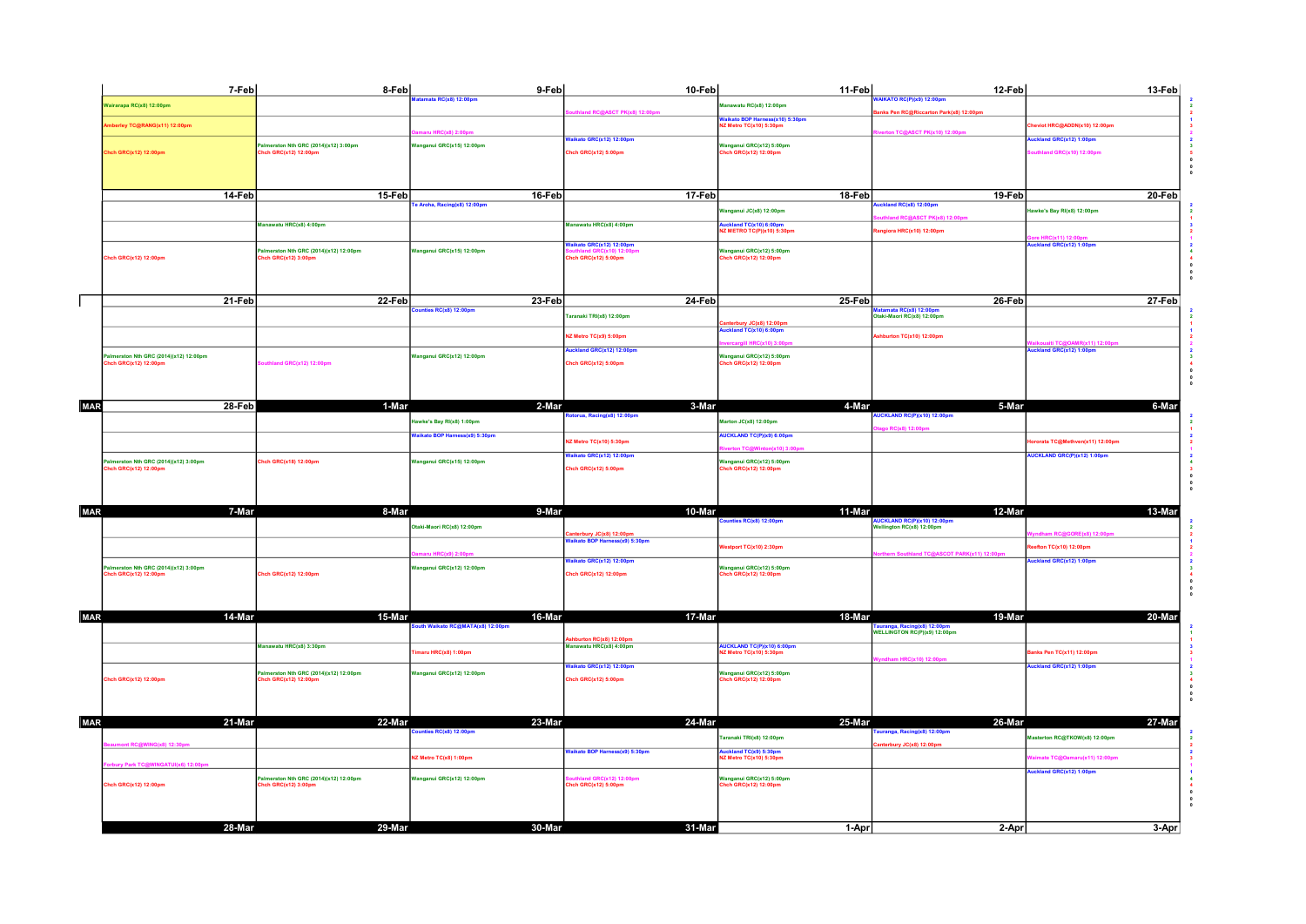|            | 7-Feb                                                        | 8-Feb                                                        | 9-Feb                                                      | 10-Feb                                                                     | 11-Feb                                                    | 12-Feb                                                                 | 13-Feb                        |  |
|------------|--------------------------------------------------------------|--------------------------------------------------------------|------------------------------------------------------------|----------------------------------------------------------------------------|-----------------------------------------------------------|------------------------------------------------------------------------|-------------------------------|--|
|            | Vairarapa RC(x8) 12:00pm                                     |                                                              | tamata RC(x8) 12:00pm                                      | RC@ASCT PK(x8) 12:00p                                                      | fanawatu RC(x8) 12:00pm                                   | <b>UKATO RC(P)(x9) 12:00pm</b>                                         |                               |  |
|            | erley TC@RANG(x11) 12:00pm                                   |                                                              |                                                            |                                                                            | aikato BOP Harness(x10) 5:30pm<br>Z Metro TC(x10) 5:30pm  | anks Pen RC@Riccarton Park(x8) 12:00pm                                 | viot HRC@ADDN(x10) 12:00pm    |  |
|            |                                                              | almerston Nth GRC (2014)(x12) 3:00pm                         | $C(x8)$ 2:00<br>anganul GRC(x15) 12:00pm                   | aikato GRC(x12) 12:00pm                                                    | Vanganui GRC(x12) 5:00pm                                  | n TC@ASCT PK(x10) 12:00p                                               | kland GRC(x12) 1:00pm         |  |
|            | hch GRC(x12) 12:00pm                                         | hch GRC(x12) 12:00pm                                         |                                                            | hch GRC(x12) 5:00pm                                                        | hch GRC(x12) 12:00pm                                      |                                                                        | thland GRC(x10) 12:00pm       |  |
|            |                                                              |                                                              |                                                            |                                                                            |                                                           |                                                                        |                               |  |
|            | 14-Feb                                                       | 15-Feb                                                       | 16-Feb                                                     | 17-Feb                                                                     | 18-Feb                                                    | 19-Feb                                                                 | 20-Feb                        |  |
|            |                                                              |                                                              | Aroha, Racing(x8) 12:00pm                                  |                                                                            | anganul JC(x8) 12:00pm                                    | ckland RC(x8) 12:00pm                                                  | awke's Bay RI(x8) 12:00pm     |  |
|            |                                                              | Manawatu HRC(x8) 4:00pm                                      |                                                            | Manawatu HRC(x8) 4:00pm                                                    | uckland TC(x10) 6:00pm                                    | nd RC@ASCT PK(x8) 12:00                                                |                               |  |
|            |                                                              |                                                              |                                                            | aikato GRC(x12) 12:00pm                                                    | IZ METRO TC(P)(x10) 5:30pm                                | ngiora HRC(x10) 12:00pm                                                | d GRC(x12) 1:00p              |  |
|            | Chch GRC(x12) 12:00pm                                        | almerston Nth GRC (2014)(x12) 12:00pm<br>hch GRC(x12) 3:00pm | anganul GRC(x15) 12:00pm                                   | hch GRC(x12) 5:00pm                                                        | Vanganui GRC(x12) 5:00pm<br>hch GRC(x12) 12:00pm          |                                                                        |                               |  |
|            |                                                              |                                                              |                                                            |                                                                            |                                                           |                                                                        |                               |  |
|            |                                                              |                                                              |                                                            |                                                                            |                                                           |                                                                        |                               |  |
|            | 21-Feb                                                       | 22-Feb                                                       | 23-Feb                                                     | 24 Feb                                                                     | 25-Feb                                                    | 26-Feb                                                                 | 27-Feb                        |  |
|            |                                                              |                                                              | nties RC(x8) 12:00pm                                       | aranaki TRI(x8) 12:00pm                                                    | nterbury JC(x8) 12:00pm                                   | atamata RC(x8) 12:00p<br>Otaki-Maori RC(x8) 12:00pm                    |                               |  |
|            |                                                              |                                                              |                                                            | IZ Metro TC(x9) 5:00pm                                                     | uckland TC(x10) 6:00pm                                    | hburton TC(x10) 12:00pm                                                |                               |  |
|            | almerston Nth GRC (2014)(x12) 12:00pm                        |                                                              | anganul GRC(x12) 12:00pm                                   | ckland GRC(x12) 12:00pm                                                    | <b>HRC(x10) 3:6</b><br>Janganul GRC(x12) 5:00pm           |                                                                        | kland GRC(x12) 1:00pm         |  |
|            | hch GRC(x12) 12:00pm                                         | outhland GRC(x12) 12:00pm                                    |                                                            | hch GRC(x12) 5:00pm                                                        | hch GRC(x12) 12:00pm                                      |                                                                        |                               |  |
|            |                                                              |                                                              |                                                            |                                                                            |                                                           |                                                                        |                               |  |
|            | 28-Feb                                                       |                                                              | 2-Mar                                                      | 3-Mar                                                                      | 4-Mar                                                     | 5-Mar                                                                  | 6-Mar                         |  |
| MAR        |                                                              | 1-Mar                                                        |                                                            | orua, Racing(x8) 12:00pn                                                   |                                                           | <b>CKLAND RC(P)(x10) 12:00pm</b>                                       |                               |  |
|            |                                                              |                                                              | lawke's Bay RI(x8) 1:00pm<br>aikato BOP Harness(x9) 5:30pm |                                                                            | larton JC(x8) 12:00pm<br><b>AUCKLAND TC(P)(x9) 6:00pm</b> | go RC(x8) 12:00pm                                                      |                               |  |
|            |                                                              |                                                              |                                                            | Metro TC(x10) 5:30pm                                                       | n TC@Winton(x10) 3:0                                      |                                                                        | rata TC@Methven(x11) 12:00pm  |  |
|            | almerston Nth GRC (2014)(x12) 3:00pm                         | hch GRC(x18) 12:00pm                                         | anganul GRC(x15) 12:00pm                                   | aikato GRC(x12) 12:00pm                                                    | Vanganui GRC(x12) 5:00pm                                  |                                                                        | UCKLAND GRC(P)(x12) 1:00pm    |  |
|            | hch GRC(x12) 12:00pm                                         |                                                              |                                                            | hch GRC(x12) 5:00pm                                                        | hch GRC(x12) 12:00pm                                      |                                                                        |                               |  |
|            |                                                              |                                                              |                                                            |                                                                            |                                                           |                                                                        |                               |  |
| <b>MAR</b> | 7-Mar                                                        | 8-Mar                                                        | $9$ -Mar                                                   | $10$ -Mar                                                                  | $11$ -Mar                                                 | $12$ -Mar                                                              | 13-Mar                        |  |
|            |                                                              |                                                              | taki-Maori RC(x8) 12:00pm                                  |                                                                            | inties RC(x8) 12:00pm                                     | <mark>AUCKLAND RC(P)(x10) 12:00pr</mark><br>Wellington RC(x8) 12:00pm  | <b>RC@GORE(x8) 12:00</b>      |  |
|            |                                                              |                                                              |                                                            | anterbury JC(x8) 12:00pm<br>`alkato BOP Harnens': **<br>Harness(x9) 5:30pn | stport TC(x10) 2:30pm                                     |                                                                        | fton TC(x10) 12:00pm          |  |
|            |                                                              |                                                              | <b>HRC(x9) 2:00p</b>                                       | aikato GRC(x12) 12:00pm                                                    |                                                           | Southland TC@ASCOT PARK(x11) 12:00pr                                   | ckland GRC(x12) 1:00pm        |  |
|            | almerston Nth GRC (2014)(x12) 3:00pm<br>hch GRC(x12) 12:00pm | Chch GRC(x12) 12:00pm                                        | Vanganul GRC(x12) 12:00pm                                  | hch GRC(x12) 12:00pm                                                       | Vanganul GRC(x12) 5:00pm<br>hch GRC(x12) 12:00pm          |                                                                        |                               |  |
|            |                                                              |                                                              |                                                            |                                                                            |                                                           |                                                                        |                               |  |
|            |                                                              |                                                              |                                                            |                                                                            |                                                           |                                                                        |                               |  |
| <b>MAR</b> | 14-Mar                                                       | 15-Mar                                                       | 16-Mar<br>ith Walkato RC@MATA(x8) 12:00pm                  | 17-Mar                                                                     | 18-Mar                                                    | 19-Mar<br>Tauranga, Racing(x8) 12:00pm<br>WELLINGTON RC(P)(x9) 12:00pm | 20-Mar                        |  |
|            |                                                              | Manawatu HRC(x8) 3:30pm                                      |                                                            | <mark>Ashburton RC(x8) 12:00pm</mark><br>Manawatu HRC(x8) 4:00pm           |                                                           |                                                                        |                               |  |
|            |                                                              |                                                              | maru HRC(x8) 1:00pm                                        |                                                                            | AUCKLAND TC(P)(x10) 6:00pm<br>NZ Metro TC(x10) 5:30pm     | dham HRC(x10) 12:00p                                                   | nks Pen TC(x11) 12:00pm       |  |
|            |                                                              | almerston Nth GRC (2014)(x12) 12:00pm                        | anganul GRC(x12) 12:00pm                                   | aikato GRC(x12) 12:00pm                                                    | Vanganul GRC(x12) 5:00pm                                  |                                                                        | ckland GRC(x12) 1:00pm        |  |
|            | Chch GRC(x12) 12:00pm                                        | hch GRC(x12) 12:00pm                                         |                                                            | hch GRC(x12) 5:00pm                                                        | hch GRC(x12) 12:00pm                                      |                                                                        |                               |  |
|            |                                                              |                                                              |                                                            |                                                                            |                                                           |                                                                        |                               |  |
| <b>MAR</b> | 21-Mar                                                       | 22-Mar                                                       | 23-Mar                                                     | 24-Mar                                                                     | 25-Mar                                                    | 26-Mar                                                                 | 27-Mar                        |  |
|            |                                                              |                                                              | les RC(x8) 12:00pr                                         |                                                                            | aranaki TRI(x8) 12:00pm                                   | ranga, Racing(x8) 12:00pm                                              | Aasterton RC@TKOW(x8) 12:00pm |  |
|            | t RC@WING(x8) 12:30pm                                        |                                                              | Metro TC(x8) 1:00pm                                        | aikato BOP Harness(x9) 5:30pm                                              | iuckland TC(x9) 5:30pm<br>IZ Metro TC(x10) 5:30pm         | anterbury JC(x8) 12:00pm                                               | imate TC@Oamaru(x11) 12:00pm  |  |
|            | ury Park TC@WINGATUI(x6) 12:00pm                             |                                                              |                                                            |                                                                            |                                                           |                                                                        | ckland GRC(x12) 1:00pm        |  |
|            | hch GRC(x12) 12:00pm                                         | almerston Nth GRC (2014)(x12) 12:00pm<br>hch GRC(x12) 3:00pm | Vanganul GRC(x12) 12:00pm                                  | land GRC(x12) 12:00pm<br>hch GRC(x12) 5:00pm                               | Wanganul GRC(x12) 5:00pm<br>hch GRC(x12) 12:00pm          |                                                                        |                               |  |
|            |                                                              |                                                              |                                                            |                                                                            |                                                           |                                                                        |                               |  |
|            |                                                              |                                                              |                                                            |                                                                            |                                                           |                                                                        |                               |  |
|            | 28-Mar                                                       | 29-Mar                                                       | 30-Mar                                                     | 31-Mar                                                                     | 1-Aprl                                                    | 2-Apr                                                                  | 3-Apr                         |  |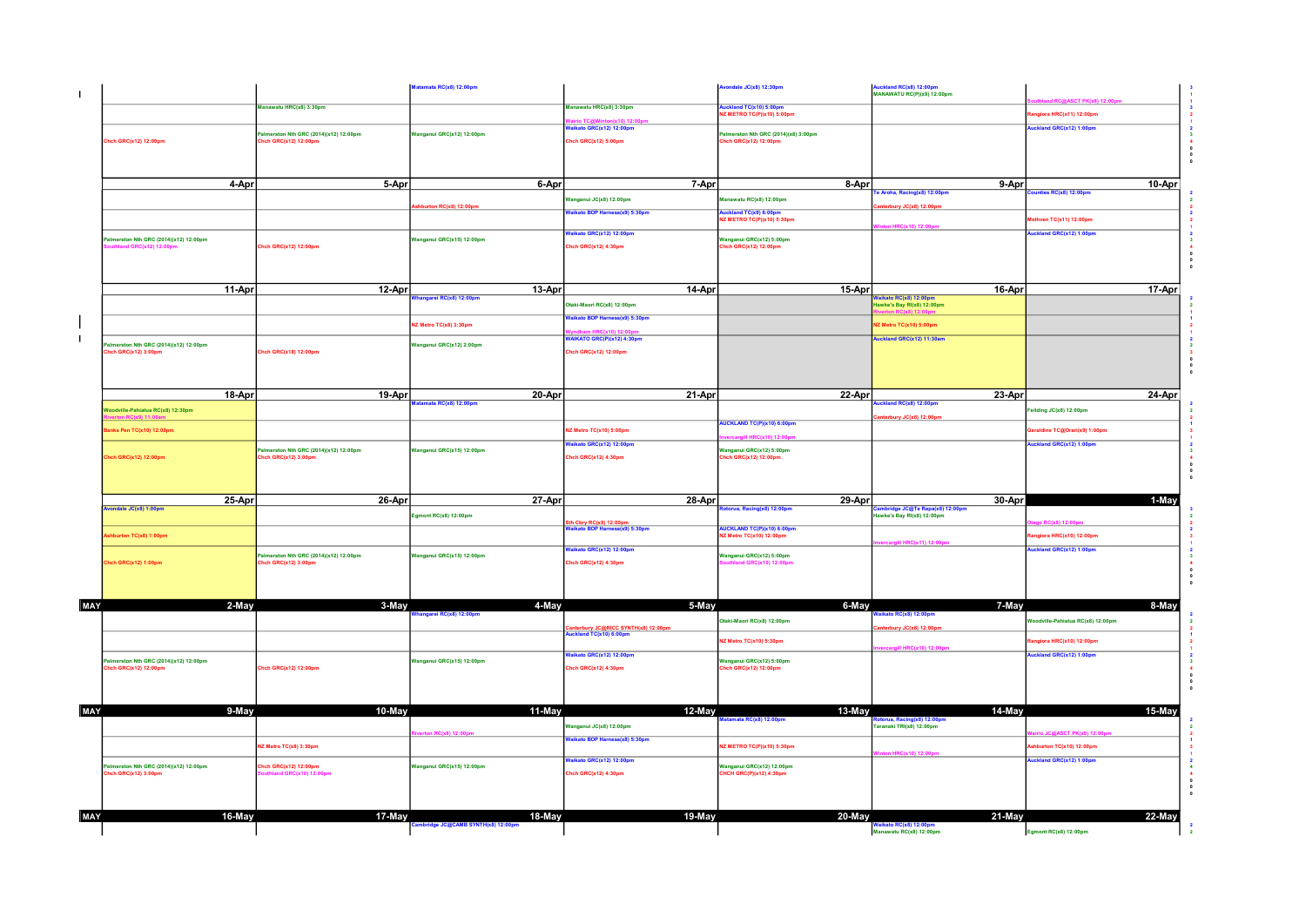|     |                                                                |        | 17-May                                                          |                                  |                                                             | 20-May                                                              |                                                                | 22-May                                           |  |
|-----|----------------------------------------------------------------|--------|-----------------------------------------------------------------|----------------------------------|-------------------------------------------------------------|---------------------------------------------------------------------|----------------------------------------------------------------|--------------------------------------------------|--|
|     |                                                                |        |                                                                 |                                  |                                                             |                                                                     |                                                                |                                                  |  |
|     | almerston Nth GRC (2014)(x12) 12:00pm<br>hch GRC(x12) 3:00pm   |        | hch GRC(x12) 12:00pm<br><b>RC(x10) 12:00pn</b>                  | Vanganui GRC(x15) 12:00pm        | Chch GRC(x12) 4:30pm                                        | Wanganul GRC(x12) 12:00pm<br><b>HCH GRC(P)(x12) 4:30pm</b>          |                                                                |                                                  |  |
|     |                                                                |        | IZ Metro TC(x8) 3:30pm                                          |                                  | aikato GRC(x12) 12:00pm                                     | 2 METRO TC(P)(x10) 5:30pm                                           | HRC(x10) 12:00                                                 | burton TC(x10) 12:00pm<br>ckland GRC(x12) 1:00pm |  |
|     |                                                                |        |                                                                 | RClx8112:00n                     | Janganul JC(x8) 12:00pm<br>aikato BOP Harness(x8) 5:30pm    |                                                                     | Faranaki TRI(x8) 12:00pm                                       | <b>IC@ASCT PK(x8) 12:00n</b>                     |  |
| MAY |                                                                | 9-May  | 10-May                                                          | 11-May                           | 12-May                                                      | 13-May<br>atamata RC(x8) 12:00pm                                    | 14-May<br>orua, Racing(x8) 12:00pn                             | 15-May                                           |  |
|     |                                                                |        |                                                                 |                                  |                                                             |                                                                     |                                                                |                                                  |  |
|     | Palmerston Nth GRC (2014)(x12) 12:00pm<br>hch GRC(x12) 12:00pm |        | Chch GRC(x12) 12:00pm                                           | Vanganul GRC(x15) 12:00pm        | Chch GRC(x12) 4:30pm                                        | Wanganul GRC(x12) 5:00pm<br>Chch GRC(x12) 12:00pm                   |                                                                |                                                  |  |
|     |                                                                |        |                                                                 |                                  | aikato GRC(x12) 12:00pm                                     | Z Metro TC(x10) 5:30pm                                              | aill HRC(x10) 12:00pr                                          | giora HRC(x10) 12:00pm<br>ckland GRC(x12) 1:00pm |  |
|     |                                                                |        |                                                                 |                                  | nterbury JC@RICC SYNTH(x8) 12:00pn<br>ckland TC(x10) 6:00pm |                                                                     | terbury JC(x8) 12:00pr                                         |                                                  |  |
| MAY |                                                                | 2-May  | 3-May                                                           | 4-May<br>ngarej RC(x8) 12:00pm   | 5-May                                                       | 6-May<br>Itaki-Maori RC(x8) 12:00pm                                 | 7-May<br>aikato RC(x8) 12:00pm                                 | 8-May<br>oodville-Pahlatua RC(x8) 12:00pm        |  |
|     |                                                                |        |                                                                 |                                  |                                                             |                                                                     |                                                                |                                                  |  |
|     |                                                                |        |                                                                 |                                  |                                                             |                                                                     |                                                                |                                                  |  |
|     | Chch GRC(x12) 1:00pm                                           |        | Palmerston Nth GRC (2014)(x12) 12:00pm<br>hch GRC(x12) 3:00pm   | Wanganul GRC(x15) 12:00pm        | aikato GRC(x12) 12:00pm<br>hch GRC(x12) 4:30pm              | Wanganul GRC(x12) 5:00pm<br>nd GRC(x10) 12:00pn                     |                                                                | ckland GRC(x12) 1:00pm                           |  |
|     | hburton TC(x8) 1:00pm                                          |        |                                                                 |                                  |                                                             | <mark>AUCKLAND TC(P)(x10) 6:00pm</mark><br>4Z Metro TC(x10) 12:00pm | <b>III HRC(x11) 12:01</b>                                      | giora HRC(x10) 12:00pm                           |  |
|     | vondale JC(x8) 1:00pm                                          |        |                                                                 | gmont RC(x8) 12:00pm             | th Cbry RC(x8) 12:00pm<br>/aikato BOP Harness(x9) 5:30pm    | orua, Racing(x8) 12:00pm                                            | Cambridge JC@Te Rapa(x8) 12:00pm<br>Hawke's Bay RI(x8) 12:00pm | C(x8) 12:00p                                     |  |
|     |                                                                | 25-Apr | 26-Apr                                                          | 27-Apr                           | 28-Apr                                                      | 29-Apr                                                              | 30-Apr                                                         | 1-May                                            |  |
|     |                                                                |        |                                                                 |                                  |                                                             |                                                                     |                                                                |                                                  |  |
|     | hch GRC(x12) 12:00pm                                           |        | hch GRC(x12) 3:00pm                                             |                                  | hch GRC(x12) 4:30pm                                         | hch GRC(x12) 12:00pm                                                |                                                                |                                                  |  |
|     |                                                                |        | almerston Nth GRC (2014)(x12) 12:00pm                           | Vanganui GRC(x15) 12:00pm        | aikato GRC(x12) 12:00pm                                     | HRC(x10) 12:00<br>Wanganul GRC(x12) 5:00pm                          |                                                                | ckland GRC(x12) 1:00pm                           |  |
|     | anks Pen TC(x10) 12:00pm                                       |        |                                                                 |                                  | Z Metro TC(x10) 5:00pm                                      | <b>AUCKLAND TC(P)(x10) 6:00pm</b>                                   | nterbury JC(x8) 12:00pn                                        | raldine TC@Orari(x9) 1:00pm                      |  |
|     | podville-Pahiatua RC(x8) 12:30pm                               |        |                                                                 | tamata RC(x8) 12:00pm            |                                                             |                                                                     | ckland RC(x8) 12:00pm                                          | Feilding JC(x8) 12:00pm                          |  |
|     |                                                                | 18-Apr | 19-Apr                                                          | 20-Apr                           | 21-Apr                                                      | $22$ -Apr                                                           | 23-Apr                                                         | 24-Apr                                           |  |
|     |                                                                |        |                                                                 |                                  |                                                             |                                                                     |                                                                |                                                  |  |
|     | almerston Nth GRC (2014)(x12) 12:00pm<br>hch GRC(x12) 3:00pm   |        | hch GRC(x18) 12:00pm                                            | Vanganul GRC(x12) 2:00pm         | hch GRC(x12) 12:00pm                                        |                                                                     |                                                                |                                                  |  |
|     |                                                                |        |                                                                 | NZ Metro TC(x8) 3:30pm           | AIKATO GRC(P)(x12) 4:30pm                                   |                                                                     | VZ Metro TC(x10) 5:00pm<br>Auckland GRC(x12) 11:30am           |                                                  |  |
|     |                                                                |        |                                                                 |                                  | Otaki-Maori RC(x8) 12:00pm<br>alkato BOP Harness(x9) 5:30pm |                                                                     | awke's Bay RI(x8) 12:00pm                                      |                                                  |  |
|     |                                                                | 11-Apr | 12-Apr                                                          | 13-Apr<br>angarei RC(x8) 12:00pm | 14-Apr                                                      | 15-Apr                                                              | 16-Apr<br>laikato RC(x8) 12:00pm                               | 17-Apr                                           |  |
|     |                                                                |        |                                                                 |                                  |                                                             |                                                                     |                                                                |                                                  |  |
|     | and GRC(x12) 12:00                                             |        | Chch GRC(x12) 12:00pm                                           |                                  | hch GRC(x12) 4:30pm                                         | Wanganul GRC(x12) 5:00pm<br>Chch GRC(x12) 12:00pm                   |                                                                |                                                  |  |
|     | almerston Nth GRC (2014)(x12) 12:00pm                          |        |                                                                 | anganui GRC(x15) 12:00pm         | aikato GRC(x12) 12:00pm                                     |                                                                     | HRC(x10) 12:00                                                 | uckland GRC(x12) 1:00pm                          |  |
|     |                                                                |        |                                                                 | on RC(x8) 12:00pm                | aikato BOP Harness(x9) 5:30pm                               | uckland TC(x9) 6:00pm<br>IZ METRO TC(P)(x10) 5:30pm                 | terbury JC(x8) 12:00pm                                         | thven TC(x11) 12:00pm                            |  |
|     |                                                                |        |                                                                 |                                  | anganul JC(x8) 12:00pm                                      | anawatu RC(x8) 12:00pm                                              | e Aroha, Racing(x8) 12:00pm                                    | inties RC(x8) 12:00pm                            |  |
|     |                                                                | 4-Apr  | 5-Apr                                                           | 6-Apr                            | 7-Apr                                                       | 8-Apr                                                               | 9-Apr                                                          | 10-Apr                                           |  |
|     |                                                                |        |                                                                 |                                  |                                                             |                                                                     |                                                                |                                                  |  |
|     | Chch GRC(x12) 12:00pm                                          |        | 'almerston Nth GRC (2014)(x12) 12:00pm<br>:hch GRC(x12) 12:00pm | anganul GRC(x12) 12:00pm         | alkato GRC(x12) 12:00pm<br>Chch GRC(x12) 5:00pm             | almerston Nth GRC (2014)(x8) 3:00pm<br>:hch GRC(x12) 12:00pm        |                                                                | uckland GRC(x12) 1:00pm                          |  |
|     |                                                                |        |                                                                 |                                  |                                                             | IZ METRO TC(P)(x10) 5:00pm                                          |                                                                | giora HRC(x11) 12:00pm                           |  |
|     |                                                                |        | Manawatu HRC(x8) 3:30pm                                         |                                  | Manawatu HRC(x8) 3:30pm                                     | uckland TC(x10) 5:00pm                                              | Auckland RC(x8) 12:00pm<br>MANAWATU RC(P)(x9) 12:00pm          | C@ASCT PK/v8) 12-0                               |  |
|     |                                                                |        |                                                                 | Matamata RC(x8) 12:00pm          |                                                             | vondale JC(x8) 12:30pm                                              |                                                                |                                                  |  |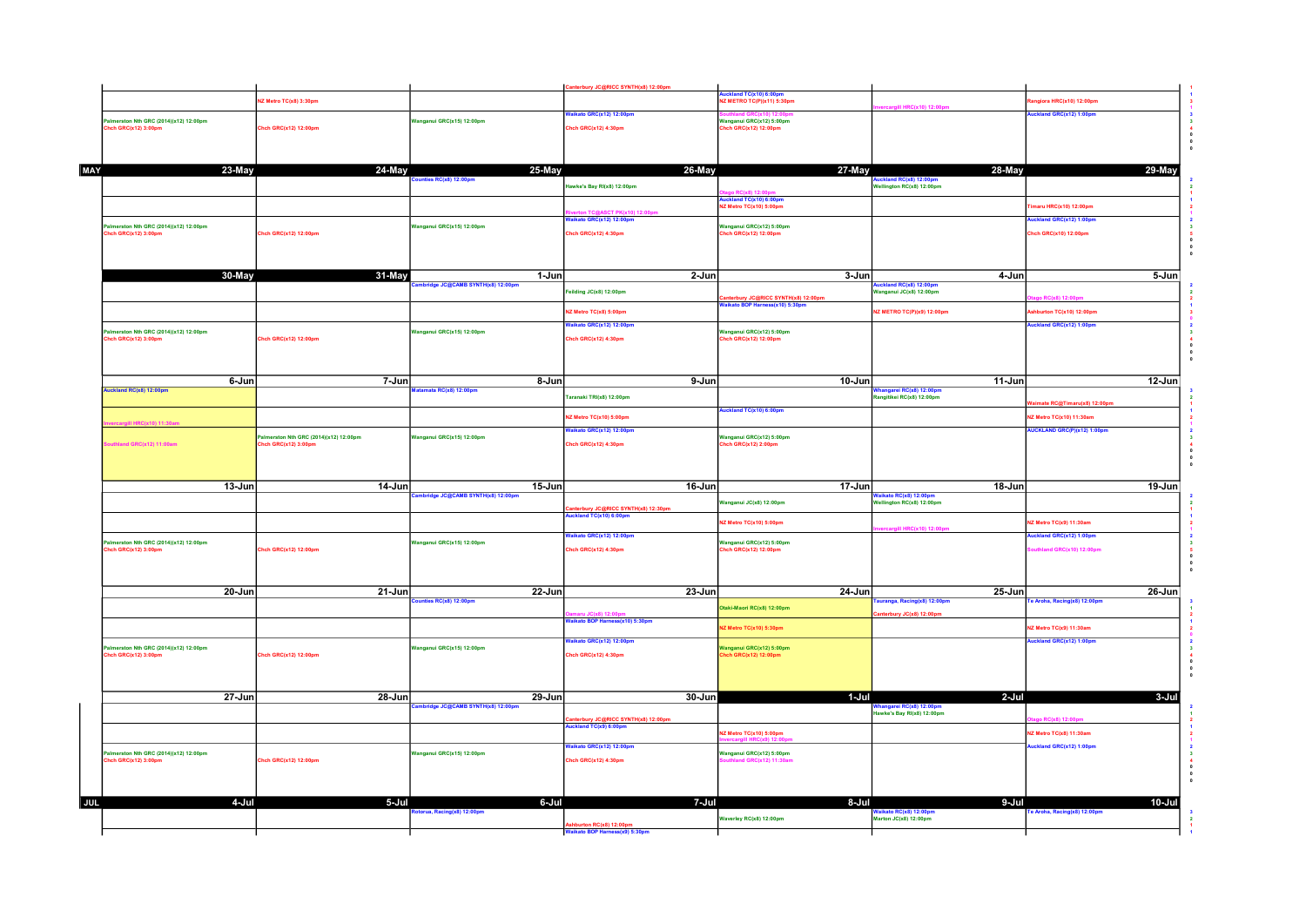|      |                                                              |                                                               |                                    | Canterbury JC@RICC SYNTH(x8) 12:00pm                                 |                                                                        |                                                                  |                                                                |  |
|------|--------------------------------------------------------------|---------------------------------------------------------------|------------------------------------|----------------------------------------------------------------------|------------------------------------------------------------------------|------------------------------------------------------------------|----------------------------------------------------------------|--|
|      |                                                              | Z Metro TC(x8) 3:30pm                                         |                                    |                                                                      | uckland TC(x10) 6:00pm<br><b>Z METRO TC(P)(x11) 5:30pm</b>             |                                                                  | giora HRC(x10) 12:00pm                                         |  |
|      |                                                              |                                                               | anganul GRC(x15) 12:00pm           | aikato GRC(x12) 12:00pm                                              |                                                                        | <b>I HRC(x10) 12:0</b>                                           | ckland GRC(x12) 1:00pm                                         |  |
|      | almerston Nth GRC (2014)(x12) 12:00pm<br>hch GRC(x12) 3:00pm | Chch GRC(x12) 12:00pm                                         |                                    | Chch GRC(x12) 4:30pm                                                 | Vanganul GRC(x12) 5:00pm<br>hch GRC(x12) 12:00pm                       |                                                                  |                                                                |  |
|      |                                                              |                                                               |                                    |                                                                      |                                                                        |                                                                  |                                                                |  |
|      |                                                              |                                                               |                                    |                                                                      |                                                                        |                                                                  |                                                                |  |
| MAY  | 23-May                                                       | 24-May                                                        | 25-May                             | 26-May                                                               | 27-May                                                                 | 28-May                                                           | 29-May                                                         |  |
|      |                                                              |                                                               | es RC(x8) 12:00pm                  | lawke's Bay RI(x8) 12:00pm                                           |                                                                        | ckland RC(x8) 12:00pr<br>Wellington RC(x8) 12:00pm               |                                                                |  |
|      |                                                              |                                                               |                                    |                                                                      | Nuckland TC(x10) 6:00pm<br>NZ Metro TC(x10) 5:00pm                     |                                                                  |                                                                |  |
|      |                                                              |                                                               |                                    | aikato GRC(x12) 12:00pm                                              |                                                                        |                                                                  | maru HRC(x10) 12:00pm                                          |  |
|      | almerston Nth GRC (2014)(x12) 12:00pm<br>hch GRC(x12) 3:00pm | Chch GRC(x12) 12:00pm                                         | Vanganul GRC(x15) 12:00pm          | Chch GRC(x12) 4:30pm                                                 | Nanganul GRC(x12) 5:00pm<br>Chch GRC(x12) 12:00pm                      |                                                                  | uckland GRC(x12) 1:00pm<br>Chch GRC(x10) 12:00pm               |  |
|      |                                                              |                                                               |                                    |                                                                      |                                                                        |                                                                  |                                                                |  |
|      |                                                              |                                                               |                                    |                                                                      |                                                                        |                                                                  |                                                                |  |
|      | 30-May                                                       | 31-May                                                        | 1-Jun                              | 2-Jun                                                                | 3-Jun                                                                  |                                                                  |                                                                |  |
|      |                                                              |                                                               | hbridge JC@CAMB SYNTH(x8) 12:00pm  |                                                                      |                                                                        | 4-Jun<br>uckland RC(x8) 12:00pm<br>/anganul JC(x8) 12:00pm       | 5-Jun                                                          |  |
|      |                                                              |                                                               |                                    | eilding JC(x8) 12:00pm                                               | anterbury JC@RICC SYNTH(x8) 12:00pm<br>/aikato BOP Harness(x10) 5:30pm |                                                                  | C(x8) 12:00                                                    |  |
|      |                                                              |                                                               |                                    | IZ Metro TC(x8) 5:00pm                                               |                                                                        | NZ METRO TC(P)(x9) 12:00pm                                       | shburton TC(x10) 12:00pm                                       |  |
|      | almerston Nth GRC (2014)(x12) 12:00pm                        |                                                               | Janganul GRC(x15) 12:00pm          | Vaikato GRC(x12) 12:00pm                                             | Vanganul GRC(x12) 5:00pm                                               |                                                                  | uckland GRC(x12) 1:00pm                                        |  |
|      | hch GRC(x12) 3:00pm                                          | Chch GRC(x12) 12:00pm                                         |                                    | Chch GRC(x12) 4:30pm                                                 | hch GRC(x12) 12:00pm                                                   |                                                                  |                                                                |  |
|      |                                                              |                                                               |                                    |                                                                      |                                                                        |                                                                  |                                                                |  |
|      |                                                              |                                                               |                                    |                                                                      |                                                                        |                                                                  |                                                                |  |
|      | 6-Jun                                                        | 7-Jun                                                         | 8-Jun                              | 9-Jun                                                                | $10$ -Jun                                                              | 11-Jun                                                           | $12$ -Jun                                                      |  |
|      | Auckland RC(x8) 12:00pm                                      |                                                               | stamata RC(x8) 12:00pm             | Faranaki TRI(x8) 12:00pm                                             |                                                                        | angarei RC(x8) 12:00pm<br>Rangitikel RC(x8) 12:00pm              |                                                                |  |
|      |                                                              |                                                               |                                    |                                                                      | uckland TC(x10) 6:00pm                                                 |                                                                  | ate RC@Timaru(x8) 12:00pm                                      |  |
|      | <b>II HRC(x10) 11:30</b>                                     |                                                               |                                    | 2 Metro TC(x10) 5:00pm<br>Vaikato GRC(x12) 12:00pm                   |                                                                        |                                                                  | VZ Metro TC(x10) 11:30am<br><b>NUCKLAND GRC(P)(x12) 1:00pm</b> |  |
|      | outhland GRC(x12) 11:00am                                    | Palmerston Nth GRC (2014)(x12) 12:00pm<br>hch GRC(x12) 3:00pm | Vanganul GRC(x15) 12:00pm          | Chch GRC(x12) 4:30pm                                                 | Wanganul GRC(x12) 5:00pm<br>hch GRC(x12) 2:00pm                        |                                                                  |                                                                |  |
|      |                                                              |                                                               |                                    |                                                                      |                                                                        |                                                                  |                                                                |  |
|      |                                                              |                                                               |                                    |                                                                      |                                                                        |                                                                  |                                                                |  |
|      | 13-Jun                                                       | 14-Jun                                                        | 15-Jun                             | 16-Jun                                                               | $17 - Jun$                                                             | 18-Jun                                                           | 19-Jun                                                         |  |
|      |                                                              |                                                               | mbridge JC@CAMB SYNTH(x8) 12:00pm  |                                                                      | Vanganul JC(x8) 12:00pm                                                | <mark>Waikato RC(x8) 12:00pm</mark><br>Wellington RC(x8) 12:00pm |                                                                |  |
|      |                                                              |                                                               |                                    | :<br>Canterbury JC@RICC SYNTH(x8) 12:30pm<br> uckland TC(x10) 6:00pm |                                                                        |                                                                  |                                                                |  |
|      |                                                              |                                                               |                                    |                                                                      | Z Metro TC(x10) 5:00pm                                                 | <b>III HRC(x10) 12:0</b>                                         | <b>Z Metro TC(x9) 11:30am</b>                                  |  |
|      | almerston Nth GRC (2014)(x12) 12:00pm                        |                                                               |                                    |                                                                      |                                                                        |                                                                  |                                                                |  |
|      |                                                              |                                                               | Vanganul GRC(x15) 12:00pm          | aikato GRC(x12) 12:00pm                                              |                                                                        |                                                                  | uckland GRC(x12) 1:00pm                                        |  |
|      | tch GRC(x12) 3:00pm                                          | Chch GRC(x12) 12:00pm                                         |                                    | Chch GRC(x12) 4:30pm                                                 | Wanganul GRC(x12) 5:00pm<br>hch GRC(x12) 12:00pm                       |                                                                  | thland GRC(x10) 12:00pm                                        |  |
|      |                                                              |                                                               |                                    |                                                                      |                                                                        |                                                                  |                                                                |  |
|      |                                                              |                                                               |                                    |                                                                      |                                                                        |                                                                  |                                                                |  |
|      | $20 - Jun$                                                   | $21$ -Jun                                                     | 22-Jun                             | 23-Jun                                                               | 24-Jun                                                                 | 25-Jun                                                           | 26-Jun                                                         |  |
|      |                                                              |                                                               | inties RC(x8) 12:00pm              |                                                                      | Itaki-Maori RC(x8) 12:00pm                                             | uranga, Racing(x8) 12:00pm<br>erbury JC(x8) 12:00pm              | Fe Aroha, Racing(x8) 12:00pm                                   |  |
|      |                                                              |                                                               |                                    | )amaru JC(x8) 12:00pm<br>Vaikato BOP Harness(x10) 5:30pm             | Z Metro TC(x10) 5:30pm                                                 |                                                                  | VZ Metro TC(x9) 11:30am                                        |  |
|      |                                                              |                                                               |                                    | aikato GRC(x12) 12:00pm                                              |                                                                        |                                                                  | uckland GRC(x12) 1:00pm                                        |  |
|      | almerston Nth GRC (2014)(x12) 12:00pm<br>hch GRC(x12) 3:00pm | Chch GRC(x12) 12:00pm                                         | Wanganul GRC(x15) 12:00pm          | Chch GRC(x12) 4:30pm                                                 | Wanganul GRC(x12) 5:00pm<br>hch GRC(x12) 12:00pm                       |                                                                  |                                                                |  |
|      |                                                              |                                                               |                                    |                                                                      |                                                                        |                                                                  |                                                                |  |
|      |                                                              |                                                               |                                    |                                                                      |                                                                        |                                                                  |                                                                |  |
|      | 27-Jun                                                       | $28 - Jun$                                                    | 29-Jun                             | 30-Jun                                                               | 1-Jul                                                                  | 2-Jul                                                            | 3-Jul                                                          |  |
|      |                                                              |                                                               | mbridge JC@CAMB SYNTH(x8) 12:00pm  |                                                                      |                                                                        | hangarei RC(x8) 12:00pm<br>lawke's Bay RI(x8) 12:00pm            |                                                                |  |
|      |                                                              |                                                               |                                    | anterbury JC@RICC SYNTH(x8) 12:00pm<br>ckland TC(x9) 6:00pm          |                                                                        |                                                                  | <b>RC(x8) 12:00</b>                                            |  |
|      |                                                              |                                                               |                                    |                                                                      | Z Metro TC(x10) 5:00pm                                                 |                                                                  | <b>IZ Metro TC(x8) 11:30am</b>                                 |  |
|      | almerston Nth GRC (2014)(x12) 12:00pm                        |                                                               | Vanganul GRC(x15) 12:00pm          | alkato GRC(x12) 12:00pm                                              | Wanganul GRC(x12) 5:00pm                                               |                                                                  | uckland GRC(x12) 1:00pm                                        |  |
|      | hch GRC(x12) 3:00pm                                          | <b>Chch GRC(x12) 12:00pm</b>                                  |                                    | Chch GRC(x12) 4:30pm                                                 | and GRC(x12) 11:30an                                                   |                                                                  |                                                                |  |
|      |                                                              |                                                               |                                    |                                                                      |                                                                        |                                                                  |                                                                |  |
|      |                                                              |                                                               |                                    |                                                                      |                                                                        |                                                                  |                                                                |  |
| JUL. | 4-Jul                                                        | 5-Jul                                                         | 6-Jul<br>torua, Racing(x8) 12:00pm | 7-Jul                                                                | 8-Jul                                                                  | 9-Jul<br>Waikato RC(x8) 12:00pm                                  | $10 -$ Jul<br>e Aroha, Racing(x8) 12:00pm                      |  |
|      |                                                              |                                                               |                                    | burton RC(x8) 12:00pm<br>Valkato BOP Harness(x9) 5:30pm              | Vaverley RC(x8) 12:00pm                                                | Marton JC(x8) 12:00pm                                            |                                                                |  |